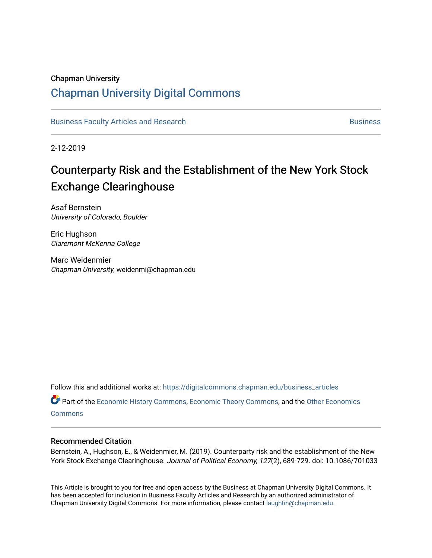### Chapman University

## [Chapman University Digital Commons](https://digitalcommons.chapman.edu/)

[Business Faculty Articles and Research](https://digitalcommons.chapman.edu/business_articles) [Business](https://digitalcommons.chapman.edu/business) **Business** Business

2-12-2019

# Counterparty Risk and the Establishment of the New York Stock Exchange Clearinghouse

Asaf Bernstein University of Colorado, Boulder

Eric Hughson Claremont McKenna College

Marc Weidenmier Chapman University, weidenmi@chapman.edu

Follow this and additional works at: [https://digitalcommons.chapman.edu/business\\_articles](https://digitalcommons.chapman.edu/business_articles?utm_source=digitalcommons.chapman.edu%2Fbusiness_articles%2F92&utm_medium=PDF&utm_campaign=PDFCoverPages) 

Part of the [Economic History Commons](http://network.bepress.com/hgg/discipline/343?utm_source=digitalcommons.chapman.edu%2Fbusiness_articles%2F92&utm_medium=PDF&utm_campaign=PDFCoverPages), [Economic Theory Commons,](http://network.bepress.com/hgg/discipline/344?utm_source=digitalcommons.chapman.edu%2Fbusiness_articles%2F92&utm_medium=PDF&utm_campaign=PDFCoverPages) and the [Other Economics](http://network.bepress.com/hgg/discipline/353?utm_source=digitalcommons.chapman.edu%2Fbusiness_articles%2F92&utm_medium=PDF&utm_campaign=PDFCoverPages)  **[Commons](http://network.bepress.com/hgg/discipline/353?utm_source=digitalcommons.chapman.edu%2Fbusiness_articles%2F92&utm_medium=PDF&utm_campaign=PDFCoverPages)** 

### Recommended Citation

Bernstein, A., Hughson, E., & Weidenmier, M. (2019). Counterparty risk and the establishment of the New York Stock Exchange Clearinghouse. Journal of Political Economy, 127(2), 689-729. doi: 10.1086/701033

This Article is brought to you for free and open access by the Business at Chapman University Digital Commons. It has been accepted for inclusion in Business Faculty Articles and Research by an authorized administrator of Chapman University Digital Commons. For more information, please contact [laughtin@chapman.edu](mailto:laughtin@chapman.edu).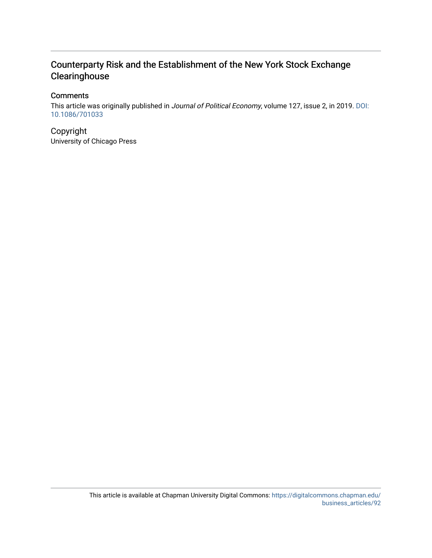### Counterparty Risk and the Establishment of the New York Stock Exchange **Clearinghouse**

### **Comments**

This article was originally published in Journal of Political Economy, volume 127, issue 2, in 2019. [DOI:](https://doi.org/10.1086/701033) [10.1086/701033](https://doi.org/10.1086/701033)

Copyright University of Chicago Press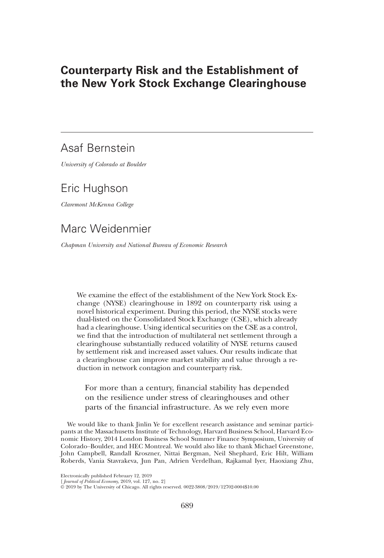### Counterparty Risk and the Establishment of the New York Stock Exchange Clearinghouse

### Asaf Bernstein

University of Colorado at Boulder

### Eric Hughson

Claremont McKenna College

### Marc Weidenmier

Chapman University and National Bureau of Economic Research

We examine the effect of the establishment of the New York Stock Exchange (NYSE) clearinghouse in 1892 on counterparty risk using a novel historical experiment. During this period, the NYSE stocks were dual-listed on the Consolidated Stock Exchange (CSE), which already had a clearinghouse. Using identical securities on the CSE as a control, we find that the introduction of multilateral net settlement through a clearinghouse substantially reduced volatility of NYSE returns caused by settlement risk and increased asset values. Our results indicate that a clearinghouse can improve market stability and value through a reduction in network contagion and counterparty risk.

For more than a century, financial stability has depended on the resilience under stress of clearinghouses and other parts of the financial infrastructure. As we rely even more

We would like to thank Jinlin Ye for excellent research assistance and seminar participants at the Massachusetts Institute of Technology, Harvard Business School, Harvard Economic History, 2014 London Business School Summer Finance Symposium, University of Colorado–Boulder, and HEC Montreal. We would also like to thank Michael Greenstone, John Campbell, Randall Kroszner, Nittai Bergman, Neil Shephard, Eric Hilt, William Roberds, Vania Stavrakeva, Jun Pan, Adrien Verdelhan, Rajkamal Iyer, Haoxiang Zhu,

Electronically published February 12, 2019

<sup>[</sup> Journal of Political Economy, 2019, vol. 127, no. 2]

<sup>©</sup> 2019 by The University of Chicago. All rights reserved. 0022-3808/2019/12702-0004\$10.00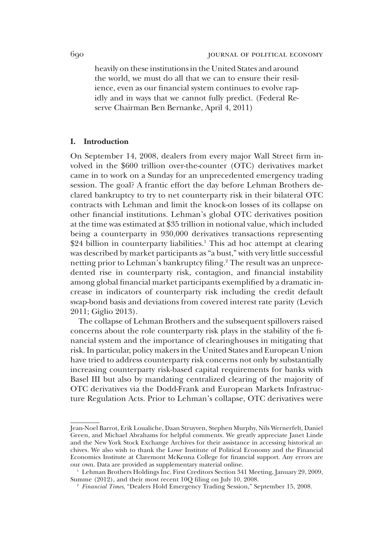heavily on these institutions in the United States and around the world, we must do all that we can to ensure their resilience, even as our financial system continues to evolve rapidly and in ways that we cannot fully predict. (Federal Reserve Chairman Ben Bernanke, April 4, 2011)

#### I. Introduction

On September 14, 2008, dealers from every major Wall Street firm involved in the \$600 trillion over-the-counter (OTC) derivatives market came in to work on a Sunday for an unprecedented emergency trading session. The goal? A frantic effort the day before Lehman Brothers declared bankruptcy to try to net counterparty risk in their bilateral OTC contracts with Lehman and limit the knock-on losses of its collapse on other financial institutions. Lehman's global OTC derivatives position at the time was estimated at \$35 trillion in notional value, which included being a counterparty in 930,000 derivatives transactions representing  $$24$  billion in counterparty liabilities.<sup>1</sup> This ad hoc attempt at clearing was described by market participants as "a bust," with very little successful netting prior to Lehman's bankruptcy filing.<sup>2</sup> The result was an unprecedented rise in counterparty risk, contagion, and financial instability among global financial market participants exemplified by a dramatic increase in indicators of counterparty risk including the credit default swap-bond basis and deviations from covered interest rate parity (Levich 2011; Giglio 2013).

The collapse of Lehman Brothers and the subsequent spillovers raised concerns about the role counterparty risk plays in the stability of the financial system and the importance of clearinghouses in mitigating that risk. In particular, policy makers in the United States and European Union have tried to address counterparty risk concerns not only by substantially increasing counterparty risk-based capital requirements for banks with Basel III but also by mandating centralized clearing of the majority of OTC derivatives via the Dodd-Frank and European Markets Infrastructure Regulation Acts. Prior to Lehman's collapse, OTC derivatives were

Jean-Noel Barrot, Erik Loualiche, Daan Struyven, Stephen Murphy, Nils Wernerfelt, Daniel Green, and Michael Abrahams for helpful comments. We greatly appreciate Janet Linde and the New York Stock Exchange Archives for their assistance in accessing historical archives. We also wish to thank the Lowe Institute of Political Economy and the Financial Economics Institute at Claremont McKenna College for financial support. Any errors are our own. Data are provided as supplementary material online.

<sup>&</sup>lt;sup>1</sup> Lehman Brothers Holdings Inc. First Creditors Section 341 Meeting, January 29, 2009, Summe (2012), and their most recent 10Q filing on July 10, 2008.

<sup>2</sup> Financial Times, "Dealers Hold Emergency Trading Session," September 15, 2008.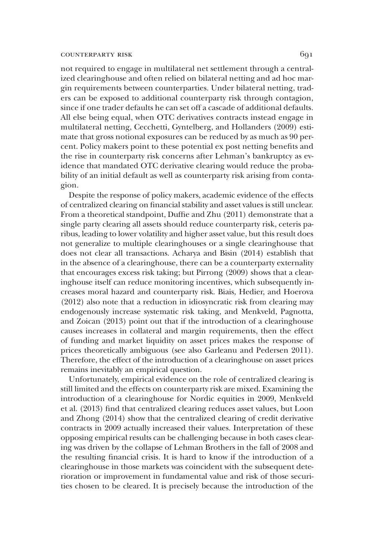not required to engage in multilateral net settlement through a centralized clearinghouse and often relied on bilateral netting and ad hoc margin requirements between counterparties. Under bilateral netting, traders can be exposed to additional counterparty risk through contagion, since if one trader defaults he can set off a cascade of additional defaults. All else being equal, when OTC derivatives contracts instead engage in multilateral netting, Cecchetti, Gyntelberg, and Hollanders (2009) estimate that gross notional exposures can be reduced by as much as 90 percent. Policy makers point to these potential ex post netting benefits and the rise in counterparty risk concerns after Lehman's bankruptcy as evidence that mandated OTC derivative clearing would reduce the probability of an initial default as well as counterparty risk arising from contagion.

Despite the response of policy makers, academic evidence of the effects of centralized clearing on financial stability and asset values is still unclear. From a theoretical standpoint, Duffie and Zhu (2011) demonstrate that a single party clearing all assets should reduce counterparty risk, ceteris paribus, leading to lower volatility and higher asset value, but this result does not generalize to multiple clearinghouses or a single clearinghouse that does not clear all transactions. Acharya and Bisin (2014) establish that in the absence of a clearinghouse, there can be a counterparty externality that encourages excess risk taking; but Pirrong (2009) shows that a clearinghouse itself can reduce monitoring incentives, which subsequently increases moral hazard and counterparty risk. Biais, Hedier, and Hoerova (2012) also note that a reduction in idiosyncratic risk from clearing may endogenously increase systematic risk taking, and Menkveld, Pagnotta, and Zoican (2013) point out that if the introduction of a clearinghouse causes increases in collateral and margin requirements, then the effect of funding and market liquidity on asset prices makes the response of prices theoretically ambiguous (see also Garleanu and Pedersen 2011). Therefore, the effect of the introduction of a clearinghouse on asset prices remains inevitably an empirical question.

Unfortunately, empirical evidence on the role of centralized clearing is still limited and the effects on counterparty risk are mixed. Examining the introduction of a clearinghouse for Nordic equities in 2009, Menkveld et al. (2013) find that centralized clearing reduces asset values, but Loon and Zhong (2014) show that the centralized clearing of credit derivative contracts in 2009 actually increased their values. Interpretation of these opposing empirical results can be challenging because in both cases clearing was driven by the collapse of Lehman Brothers in the fall of 2008 and the resulting financial crisis. It is hard to know if the introduction of a clearinghouse in those markets was coincident with the subsequent deterioration or improvement in fundamental value and risk of those securities chosen to be cleared. It is precisely because the introduction of the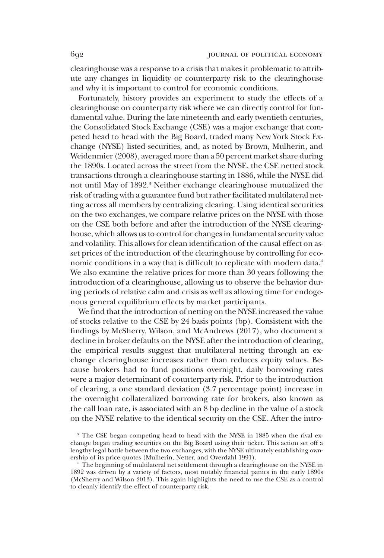clearinghouse was a response to a crisis that makes it problematic to attribute any changes in liquidity or counterparty risk to the clearinghouse and why it is important to control for economic conditions.

Fortunately, history provides an experiment to study the effects of a clearinghouse on counterparty risk where we can directly control for fundamental value. During the late nineteenth and early twentieth centuries, the Consolidated Stock Exchange (CSE) was a major exchange that competed head to head with the Big Board, traded many New York Stock Exchange (NYSE) listed securities, and, as noted by Brown, Mulherin, and Weidenmier (2008), averaged more than a 50 percent market share during the 1890s. Located across the street from the NYSE, the CSE netted stock transactions through a clearinghouse starting in 1886, while the NYSE did not until May of 1892.3 Neither exchange clearinghouse mutualized the risk of trading with a guarantee fund but rather facilitated multilateral netting across all members by centralizing clearing. Using identical securities on the two exchanges, we compare relative prices on the NYSE with those on the CSE both before and after the introduction of the NYSE clearinghouse, which allows us to control for changes in fundamental security value and volatility. This allows for clean identification of the causal effect on asset prices of the introduction of the clearinghouse by controlling for economic conditions in a way that is difficult to replicate with modern data.<sup>4</sup> We also examine the relative prices for more than 30 years following the introduction of a clearinghouse, allowing us to observe the behavior during periods of relative calm and crisis as well as allowing time for endogenous general equilibrium effects by market participants.

We find that the introduction of netting on the NYSE increased the value of stocks relative to the CSE by 24 basis points (bp). Consistent with the findings by McSherry, Wilson, and McAndrews (2017), who document a decline in broker defaults on the NYSE after the introduction of clearing, the empirical results suggest that multilateral netting through an exchange clearinghouse increases rather than reduces equity values. Because brokers had to fund positions overnight, daily borrowing rates were a major determinant of counterparty risk. Prior to the introduction of clearing, a one standard deviation (3.7 percentage point) increase in the overnight collateralized borrowing rate for brokers, also known as the call loan rate, is associated with an 8 bp decline in the value of a stock on the NYSE relative to the identical security on the CSE. After the intro-

<sup>&</sup>lt;sup>3</sup> The CSE began competing head to head with the NYSE in 1885 when the rival exchange began trading securities on the Big Board using their ticker. This action set off a lengthy legal battle between the two exchanges, with the NYSE ultimately establishing ownership of its price quotes (Mulherin, Netter, and Overdahl 1991).

<sup>4</sup> The beginning of multilateral net settlement through a clearinghouse on the NYSE in 1892 was driven by a variety of factors, most notably financial panics in the early 1890s (McSherry and Wilson 2013). This again highlights the need to use the CSE as a control to cleanly identify the effect of counterparty risk.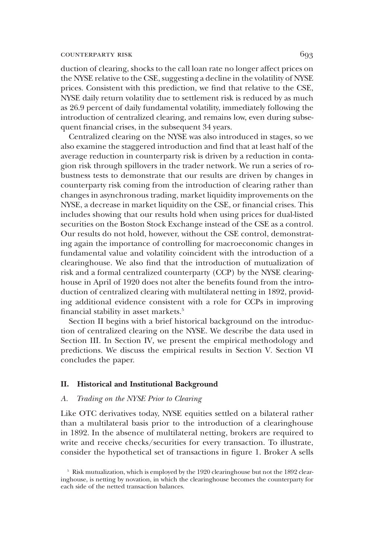duction of clearing, shocks to the call loan rate no longer affect prices on the NYSE relative to the CSE, suggesting a decline in the volatility of NYSE prices. Consistent with this prediction, we find that relative to the CSE, NYSE daily return volatility due to settlement risk is reduced by as much as 26.9 percent of daily fundamental volatility, immediately following the introduction of centralized clearing, and remains low, even during subsequent financial crises, in the subsequent 34 years.

Centralized clearing on the NYSE was also introduced in stages, so we also examine the staggered introduction and find that at least half of the average reduction in counterparty risk is driven by a reduction in contagion risk through spillovers in the trader network. We run a series of robustness tests to demonstrate that our results are driven by changes in counterparty risk coming from the introduction of clearing rather than changes in asynchronous trading, market liquidity improvements on the NYSE, a decrease in market liquidity on the CSE, or financial crises. This includes showing that our results hold when using prices for dual-listed securities on the Boston Stock Exchange instead of the CSE as a control. Our results do not hold, however, without the CSE control, demonstrating again the importance of controlling for macroeconomic changes in fundamental value and volatility coincident with the introduction of a clearinghouse. We also find that the introduction of mutualization of risk and a formal centralized counterparty (CCP) by the NYSE clearinghouse in April of 1920 does not alter the benefits found from the introduction of centralized clearing with multilateral netting in 1892, providing additional evidence consistent with a role for CCPs in improving financial stability in asset markets.<sup>5</sup>

Section II begins with a brief historical background on the introduction of centralized clearing on the NYSE. We describe the data used in Section III. In Section IV, we present the empirical methodology and predictions. We discuss the empirical results in Section V. Section VI concludes the paper.

#### II. Historical and Institutional Background

#### A. Trading on the NYSE Prior to Clearing

Like OTC derivatives today, NYSE equities settled on a bilateral rather than a multilateral basis prior to the introduction of a clearinghouse in 1892. In the absence of multilateral netting, brokers are required to write and receive checks/securities for every transaction. To illustrate, consider the hypothetical set of transactions in figure 1. Broker A sells

<sup>5</sup> Risk mutualization, which is employed by the 1920 clearinghouse but not the 1892 clearinghouse, is netting by novation, in which the clearinghouse becomes the counterparty for each side of the netted transaction balances.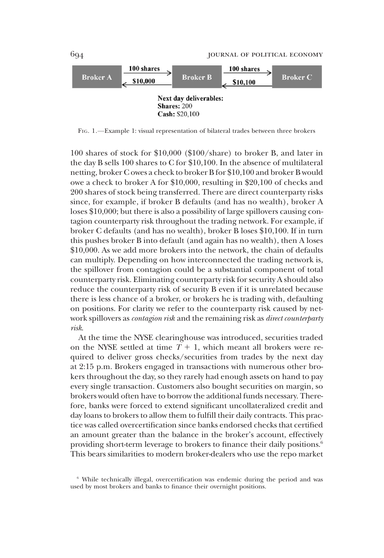

FIG. 1.—Example 1: visual representation of bilateral trades between three brokers

100 shares of stock for \$10,000 (\$100/share) to broker B, and later in the day B sells 100 shares to C for \$10,100. In the absence of multilateral netting, broker C owes a check to broker B for \$10,100 and broker B would owe a check to broker A for \$10,000, resulting in \$20,100 of checks and 200 shares of stock being transferred. There are direct counterparty risks since, for example, if broker B defaults (and has no wealth), broker A loses \$10,000; but there is also a possibility of large spillovers causing contagion counterparty risk throughout the trading network. For example, if broker C defaults (and has no wealth), broker B loses \$10,100. If in turn this pushes broker B into default (and again has no wealth), then A loses \$10,000. As we add more brokers into the network, the chain of defaults can multiply. Depending on how interconnected the trading network is, the spillover from contagion could be a substantial component of total counterparty risk. Eliminating counterparty risk for security A should also reduce the counterparty risk of security B even if it is unrelated because there is less chance of a broker, or brokers he is trading with, defaulting on positions. For clarity we refer to the counterparty risk caused by network spillovers as *contagion risk* and the remaining risk as *direct counterparty* risk.

At the time the NYSE clearinghouse was introduced, securities traded on the NYSE settled at time  $T + 1$ , which meant all brokers were required to deliver gross checks/securities from trades by the next day at 2:15 p.m. Brokers engaged in transactions with numerous other brokers throughout the day, so they rarely had enough assets on hand to pay every single transaction. Customers also bought securities on margin, so brokers would often have to borrow the additional funds necessary. Therefore, banks were forced to extend significant uncollateralized credit and day loans to brokers to allow them to fulfill their daily contracts. This practice was called overcertification since banks endorsed checks that certified an amount greater than the balance in the broker's account, effectively providing short-term leverage to brokers to finance their daily positions.<sup>6</sup> This bears similarities to modern broker-dealers who use the repo market

<sup>6</sup> While technically illegal, overcertification was endemic during the period and was used by most brokers and banks to finance their overnight positions.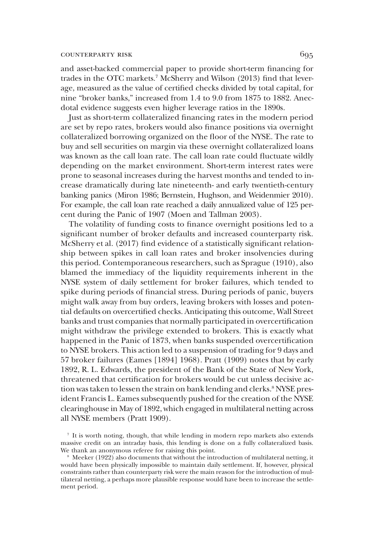and asset-backed commercial paper to provide short-term financing for trades in the OTC markets.<sup>7</sup> McSherry and Wilson (2013) find that leverage, measured as the value of certified checks divided by total capital, for nine "broker banks," increased from 1.4 to 9.0 from 1875 to 1882. Anecdotal evidence suggests even higher leverage ratios in the 1890s.

Just as short-term collateralized financing rates in the modern period are set by repo rates, brokers would also finance positions via overnight collateralized borrowing organized on the floor of the NYSE. The rate to buy and sell securities on margin via these overnight collateralized loans was known as the call loan rate. The call loan rate could fluctuate wildly depending on the market environment. Short-term interest rates were prone to seasonal increases during the harvest months and tended to increase dramatically during late nineteenth- and early twentieth-century banking panics (Miron 1986; Bernstein, Hughson, and Weidenmier 2010). For example, the call loan rate reached a daily annualized value of 125 percent during the Panic of 1907 (Moen and Tallman 2003).

The volatility of funding costs to finance overnight positions led to a significant number of broker defaults and increased counterparty risk. McSherry et al. (2017) find evidence of a statistically significant relationship between spikes in call loan rates and broker insolvencies during this period. Contemporaneous researchers, such as Sprague (1910), also blamed the immediacy of the liquidity requirements inherent in the NYSE system of daily settlement for broker failures, which tended to spike during periods of financial stress. During periods of panic, buyers might walk away from buy orders, leaving brokers with losses and potential defaults on overcertified checks. Anticipating this outcome, Wall Street banks and trust companies that normally participated in overcertification might withdraw the privilege extended to brokers. This is exactly what happened in the Panic of 1873, when banks suspended overcertification to NYSE brokers. This action led to a suspension of trading for 9 days and 57 broker failures (Eames [1894] 1968). Pratt (1909) notes that by early 1892, R. L. Edwards, the president of the Bank of the State of New York, threatened that certification for brokers would be cut unless decisive action was taken to lessen the strain on bank lending and clerks.<sup>8</sup> NYSE president Francis L. Eames subsequently pushed for the creation of the NYSE clearinghouse in May of 1892, which engaged in multilateral netting across all NYSE members (Pratt 1909).

<sup>7</sup> It is worth noting, though, that while lending in modern repo markets also extends massive credit on an intraday basis, this lending is done on a fully collateralized basis. We thank an anonymous referee for raising this point.

Meeker (1922) also documents that without the introduction of multilateral netting, it would have been physically impossible to maintain daily settlement. If, however, physical constraints rather than counterparty risk were the main reason for the introduction of multilateral netting, a perhaps more plausible response would have been to increase the settlement period.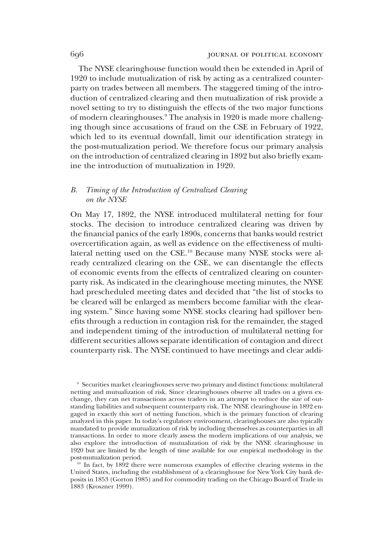The NYSE clearinghouse function would then be extended in April of 1920 to include mutualization of risk by acting as a centralized counterparty on trades between all members. The staggered timing of the introduction of centralized clearing and then mutualization of risk provide a novel setting to try to distinguish the effects of the two major functions of modern clearinghouses.<sup>9</sup> The analysis in 1920 is made more challenging though since accusations of fraud on the CSE in February of 1922, which led to its eventual downfall, limit our identification strategy in the post-mutualization period. We therefore focus our primary analysis on the introduction of centralized clearing in 1892 but also briefly examine the introduction of mutualization in 1920.

#### B. Timing of the Introduction of Centralized Clearing on the NYSE

On May 17, 1892, the NYSE introduced multilateral netting for four stocks. The decision to introduce centralized clearing was driven by the financial panics of the early 1890s, concerns that banks would restrict overcertification again, as well as evidence on the effectiveness of multilateral netting used on the CSE.<sup>10</sup> Because many NYSE stocks were already centralized clearing on the CSE, we can disentangle the effects of economic events from the effects of centralized clearing on counterparty risk. As indicated in the clearinghouse meeting minutes, the NYSE had prescheduled meeting dates and decided that "the list of stocks to be cleared will be enlarged as members become familiar with the clearing system." Since having some NYSE stocks clearing had spillover benefits through a reduction in contagion risk for the remainder, the staged and independent timing of the introduction of multilateral netting for different securities allows separate identification of contagion and direct counterparty risk. The NYSE continued to have meetings and clear addi-

<sup>9</sup> Securities market clearinghouses serve two primary and distinct functions: multilateral netting and mutualization of risk. Since clearinghouses observe all trades on a given exchange, they can net transactions across traders in an attempt to reduce the size of outstanding liabilities and subsequent counterparty risk. The NYSE clearinghouse in 1892 engaged in exactly this sort of netting function, which is the primary function of clearing analyzed in this paper. In today's regulatory environment, clearinghouses are also typically mandated to provide mutualization of risk by including themselves as counterparties in all transactions. In order to more clearly assess the modern implications of our analysis, we also explore the introduction of mutualization of risk by the NYSE clearinghouse in 1920 but are limited by the length of time available for our empirical methodology in the post-mutualization period.

<sup>10</sup> In fact, by 1892 there were numerous examples of effective clearing systems in the United States, including the establishment of a clearinghouse for New York City bank deposits in 1853 (Gorton 1985) and for commodity trading on the Chicago Board of Trade in 1883 (Kroszner 1999).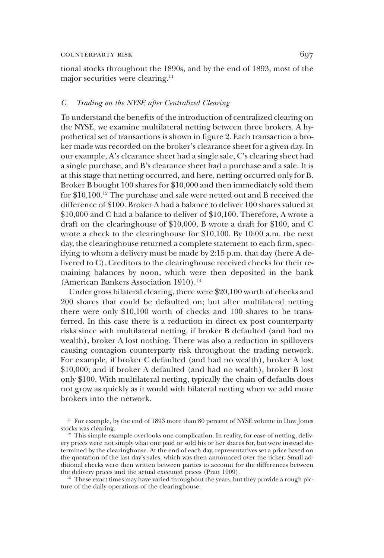tional stocks throughout the 1890s, and by the end of 1893, most of the major securities were clearing.<sup>11</sup>

#### C. Trading on the NYSE after Centralized Clearing

To understand the benefits of the introduction of centralized clearing on the NYSE, we examine multilateral netting between three brokers. A hypothetical set of transactions is shown in figure 2. Each transaction a broker made was recorded on the broker's clearance sheet for a given day. In our example, A's clearance sheet had a single sale, C's clearing sheet had a single purchase, and B's clearance sheet had a purchase and a sale. It is at this stage that netting occurred, and here, netting occurred only for B. Broker B bought 100 shares for \$10,000 and then immediately sold them for \$10,100.12 The purchase and sale were netted out and B received the difference of \$100. Broker A had a balance to deliver 100 shares valued at \$10,000 and C had a balance to deliver of \$10,100. Therefore, A wrote a draft on the clearinghouse of \$10,000, B wrote a draft for \$100, and C wrote a check to the clearinghouse for \$10,100. By 10:00 a.m. the next day, the clearinghouse returned a complete statement to each firm, specifying to whom a delivery must be made by 2:15 p.m. that day (here A delivered to C). Creditors to the clearinghouse received checks for their remaining balances by noon, which were then deposited in the bank (American Bankers Association 1910).<sup>13</sup>

Under gross bilateral clearing, there were \$20,100 worth of checks and 200 shares that could be defaulted on; but after multilateral netting there were only \$10,100 worth of checks and 100 shares to be transferred. In this case there is a reduction in direct ex post counterparty risks since with multilateral netting, if broker B defaulted (and had no wealth), broker A lost nothing. There was also a reduction in spillovers causing contagion counterparty risk throughout the trading network. For example, if broker C defaulted (and had no wealth), broker A lost \$10,000; and if broker A defaulted (and had no wealth), broker B lost only \$100. With multilateral netting, typically the chain of defaults does not grow as quickly as it would with bilateral netting when we add more brokers into the network.

 $13$  These exact times may have varied throughout the years, but they provide a rough picture of the daily operations of the clearinghouse.

<sup>&</sup>lt;sup>11</sup> For example, by the end of 1893 more than 80 percent of NYSE volume in Dow Jones stocks was clearing.

<sup>&</sup>lt;sup>12</sup> This simple example overlooks one complication. In reality, for ease of netting, delivery prices were not simply what one paid or sold his or her shares for, but were instead determined by the clearinghouse. At the end of each day, representatives set a price based on the quotation of the last day's sales, which was then announced over the ticker. Small additional checks were then written between parties to account for the differences between the delivery prices and the actual executed prices (Pratt 1909).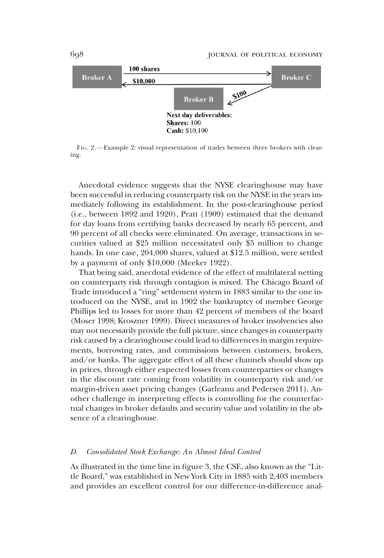

FIG. 2.—Example 2: visual representation of trades between three brokers with clearing.

Anecdotal evidence suggests that the NYSE clearinghouse may have been successful in reducing counterparty risk on the NYSE in the years immediately following its establishment. In the post-clearinghouse period (i.e., between 1892 and 1920), Pratt (1909) estimated that the demand for day loans from certifying banks decreased by nearly 65 percent, and 90 percent of all checks were eliminated. On average, transactions in securities valued at \$25 million necessitated only \$5 million to change hands. In one case, 204,000 shares, valued at \$12.5 million, were settled by a payment of only \$10,000 (Meeker 1922).

That being said, anecdotal evidence of the effect of multilateral netting on counterparty risk through contagion is mixed. The Chicago Board of Trade introduced a "ring" settlement system in 1883 similar to the one introduced on the NYSE, and in 1902 the bankruptcy of member George Phillips led to losses for more than 42 percent of members of the board (Moser 1998; Kroszner 1999). Direct measures of broker insolvencies also may not necessarily provide the full picture, since changes in counterparty risk caused by a clearinghouse could lead to differences in margin requirements, borrowing rates, and commissions between customers, brokers, and/or banks. The aggregate effect of all these channels should show up in prices, through either expected losses from counterparties or changes in the discount rate coming from volatility in counterparty risk and/or margin-driven asset pricing changes (Garleanu and Pedersen 2011). Another challenge in interpreting effects is controlling for the counterfactual changes in broker defaults and security value and volatility in the absence of a clearinghouse.

#### D. Consolidated Stock Exchange: An Almost Ideal Control

As illustrated in the time line in figure 3, the CSE, also known as the "Little Board," was established in New York City in 1885 with 2,403 members and provides an excellent control for our difference-in-difference anal-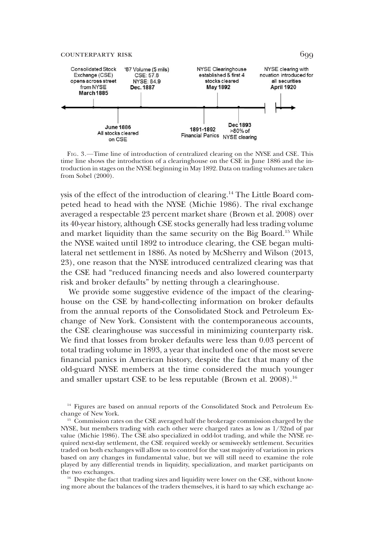

FIG. 3.—Time line of introduction of centralized clearing on the NYSE and CSE. This time line shows the introduction of a clearinghouse on the CSE in June 1886 and the introduction in stages on the NYSE beginning in May 1892. Data on trading volumes are taken from Sobel (2000).

ysis of the effect of the introduction of clearing.14 The Little Board competed head to head with the NYSE (Michie 1986). The rival exchange averaged a respectable 23 percent market share (Brown et al. 2008) over its 40-year history, although CSE stocks generally had less trading volume and market liquidity than the same security on the Big Board.15 While the NYSE waited until 1892 to introduce clearing, the CSE began multilateral net settlement in 1886. As noted by McSherry and Wilson (2013, 23), one reason that the NYSE introduced centralized clearing was that the CSE had "reduced financing needs and also lowered counterparty risk and broker defaults" by netting through a clearinghouse.

We provide some suggestive evidence of the impact of the clearinghouse on the CSE by hand-collecting information on broker defaults from the annual reports of the Consolidated Stock and Petroleum Exchange of New York. Consistent with the contemporaneous accounts, the CSE clearinghouse was successful in minimizing counterparty risk. We find that losses from broker defaults were less than 0.03 percent of total trading volume in 1893, a year that included one of the most severe financial panics in American history, despite the fact that many of the old-guard NYSE members at the time considered the much younger and smaller upstart CSE to be less reputable (Brown et al. 2008).<sup>16</sup>

<sup>14</sup> Figures are based on annual reports of the Consolidated Stock and Petroleum Exchange of New York.

<sup>15</sup> Commission rates on the CSE averaged half the brokerage commission charged by the NYSE, but members trading with each other were charged rates as low as 1/32nd of par value (Michie 1986). The CSE also specialized in odd-lot trading, and while the NYSE required next-day settlement, the CSE required weekly or semiweekly settlement. Securities traded on both exchanges will allow us to control for the vast majority of variation in prices based on any changes in fundamental value, but we will still need to examine the role played by any differential trends in liquidity, specialization, and market participants on the two exchanges.

<sup>16</sup> Despite the fact that trading sizes and liquidity were lower on the CSE, without knowing more about the balances of the traders themselves, it is hard to say which exchange ac-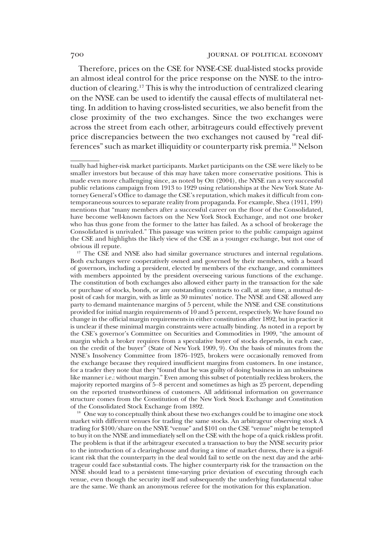Therefore, prices on the CSE for NYSE-CSE dual-listed stocks provide an almost ideal control for the price response on the NYSE to the introduction of clearing.17 This is why the introduction of centralized clearing on the NYSE can be used to identify the causal effects of multilateral netting. In addition to having cross-listed securities, we also benefit from the close proximity of the two exchanges. Since the two exchanges were across the street from each other, arbitrageurs could effectively prevent price discrepancies between the two exchanges not caused by "real differences" such as market illiquidity or counterparty risk premia.18 Nelson

 $18$  One way to conceptually think about these two exchanges could be to imagine one stock market with different venues for trading the same stocks. An arbitrageur observing stock A trading for \$100/share on the NSYE "venue" and \$101 on the CSE "venue" might be tempted to buy it on the NYSE and immediately sell on the CSE with the hope of a quick riskless profit. The problem is that if the arbitrageur executed a transaction to buy the NYSE security prior to the introduction of a clearinghouse and during a time of market duress, there is a significant risk that the counterparty in the deal would fail to settle on the next day and the arbitrageur could face substantial costs. The higher counterparty risk for the transaction on the NYSE should lead to a persistent time-varying price deviation of executing through each venue, even though the security itself and subsequently the underlying fundamental value are the same. We thank an anonymous referee for the motivation for this explanation.

tually had higher-risk market participants. Market participants on the CSE were likely to be smaller investors but because of this may have taken more conservative positions. This is made even more challenging since, as noted by Ott (2004), the NYSE ran a very successful public relations campaign from 1913 to 1929 using relationships at the New York State Attorney General's Office to damage the CSE's reputation, which makes it difficult from contemporaneous sources to separate reality from propaganda. For example, Shea (1911, 199) mentions that "many members after a successful career on the floor of the Consolidated, have become well-known factors on the New York Stock Exchange, and not one broker who has thus gone from the former to the latter has failed. As a school of brokerage the Consolidated is unrivaled." This passage was written prior to the public campaign against the CSE and highlights the likely view of the CSE as a younger exchange, but not one of obvious ill repute.

<sup>&</sup>lt;sup>17</sup> The CSE and NYSE also had similar governance structures and internal regulations. Both exchanges were cooperatively owned and governed by their members, with a board of governors, including a president, elected by members of the exchange, and committees with members appointed by the president overseeing various functions of the exchange. The constitution of both exchanges also allowed either party in the transaction for the sale or purchase of stocks, bonds, or any outstanding contracts to call, at any time, a mutual deposit of cash for margin, with as little as 30 minutes' notice. The NYSE and CSE allowed any party to demand maintenance margins of 5 percent, while the NYSE and CSE constitutions provided for initial margin requirements of 10 and 5 percent, respectively. We have found no change in the official margin requirements in either constitution after 1892, but in practice it is unclear if these minimal margin constraints were actually binding. As noted in a report by the CSE's governor's Committee on Securities and Commodities in 1909, "the amount of margin which a broker requires from a speculative buyer of stocks depends, in each case, on the credit of the buyer" (State of New York 1909, 9). On the basis of minutes from the NYSE's Insolvency Committee from 1876–1925, brokers were occasionally removed from the exchange because they required insufficient margins from customers. In one instance, for a trader they note that they "found that he was guilty of doing business in an unbusiness like manner i.e.: without margin." Even among this subset of potentially reckless brokers, the majority reported margins of 5–8 percent and sometimes as high as 25 percent, depending on the reported trustworthiness of customers. All additional information on governance structure comes from the Constitution of the New York Stock Exchange and Constitution of the Consolidated Stock Exchange from 1892.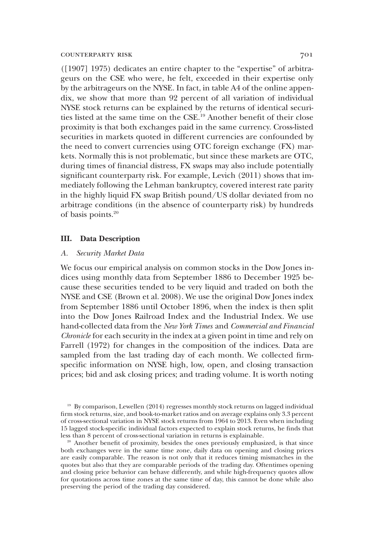([1907] 1975) dedicates an entire chapter to the "expertise" of arbitrageurs on the CSE who were, he felt, exceeded in their expertise only by the arbitrageurs on the NYSE. In fact, in table A4 of the online appendix, we show that more than 92 percent of all variation of individual NYSE stock returns can be explained by the returns of identical securities listed at the same time on the CSE.19 Another benefit of their close proximity is that both exchanges paid in the same currency. Cross-listed securities in markets quoted in different currencies are confounded by the need to convert currencies using OTC foreign exchange (FX) markets. Normally this is not problematic, but since these markets are OTC, during times of financial distress, FX swaps may also include potentially significant counterparty risk. For example, Levich (2011) shows that immediately following the Lehman bankruptcy, covered interest rate parity in the highly liquid FX swap British pound/US dollar deviated from no arbitrage conditions (in the absence of counterparty risk) by hundreds of basis points.20

#### III. Data Description

#### A. Security Market Data

We focus our empirical analysis on common stocks in the Dow Jones indices using monthly data from September 1886 to December 1925 because these securities tended to be very liquid and traded on both the NYSE and CSE (Brown et al. 2008). We use the original Dow Jones index from September 1886 until October 1896, when the index is then split into the Dow Jones Railroad Index and the Industrial Index. We use hand-collected data from the New York Times and Commercial and Financial Chronicle for each security in the index at a given point in time and rely on Farrell (1972) for changes in the composition of the indices. Data are sampled from the last trading day of each month. We collected firmspecific information on NYSE high, low, open, and closing transaction prices; bid and ask closing prices; and trading volume. It is worth noting

<sup>19</sup> By comparison, Lewellen (2014) regresses monthly stock returns on lagged individual firm stock returns, size, and book-to-market ratios and on average explains only 3.3 percent of cross-sectional variation in NYSE stock returns from 1964 to 2013. Even when including 15 lagged stock-specific individual factors expected to explain stock returns, he finds that less than 8 percent of cross-sectional variation in returns is explainable.

<sup>20</sup> Another benefit of proximity, besides the ones previously emphasized, is that since both exchanges were in the same time zone, daily data on opening and closing prices are easily comparable. The reason is not only that it reduces timing mismatches in the quotes but also that they are comparable periods of the trading day. Oftentimes opening and closing price behavior can behave differently, and while high-frequency quotes allow for quotations across time zones at the same time of day, this cannot be done while also preserving the period of the trading day considered.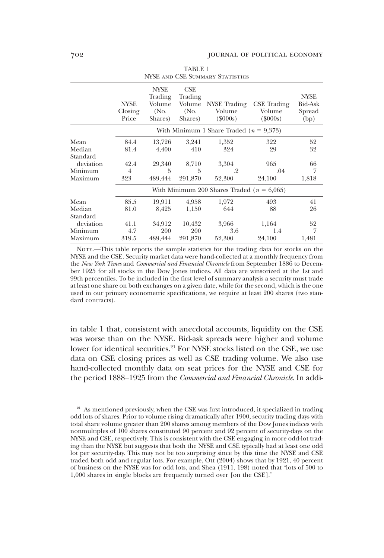|                                  | <b>NYSE</b><br>Closing<br>Price                | <b>NYSE</b><br>Trading<br>Volume<br>(No.<br>Shares) | CSE<br>Trading<br>Volume<br>(No.<br>Shares) | NYSE Trading<br>Volume<br>$(\$000s)$        | <b>CSE</b> Trading<br>Volume<br>$(\$000s)$ | <b>NYSE</b><br>Bid-Ask<br>Spread<br>(bp) |
|----------------------------------|------------------------------------------------|-----------------------------------------------------|---------------------------------------------|---------------------------------------------|--------------------------------------------|------------------------------------------|
|                                  |                                                |                                                     |                                             | With Minimum 1 Share Traded ( $n = 9,373$ ) |                                            |                                          |
| Mean<br>Median                   | 84.4<br>81.4                                   | 13,726<br>4,400                                     | 3,241<br>410                                | 1,352<br>324                                | 322<br>29                                  | 52<br>32                                 |
| Standard<br>deviation<br>Minimum | 42.4<br>$\overline{4}$                         | 29,340<br>5                                         | 8,710<br>5                                  | 3,304<br>$\cdot$ 2                          | 965<br>.04                                 | 66<br>$\overline{7}$                     |
| Maximum                          | 323                                            | 489,444                                             | 291,870                                     | 52,300                                      | 24,100                                     | 1,818                                    |
|                                  | With Minimum 200 Shares Traded ( $n = 6,065$ ) |                                                     |                                             |                                             |                                            |                                          |
| Mean<br>Median                   | 85.5<br>81.0                                   | 19,911<br>8,425                                     | 4,958<br>1,150                              | 1,972<br>644                                | 493<br>88                                  | 41<br>26                                 |
| Standard<br>deviation<br>Minimum | 41.1<br>4.7                                    | 34,912<br><b>200</b>                                | 10,432<br>200                               | 3,966<br>3.6                                | 1,164<br>1.4                               | 52<br>$\overline{7}$                     |
| Maximum                          | 319.5                                          | 489,444                                             | 291,870                                     | 52,300                                      | 24,100                                     | 1,481                                    |

TABLE 1 NYSE and CSE Summary Statistics

NOTE.—This table reports the sample statistics for the trading data for stocks on the NYSE and the CSE. Security market data were hand-collected at a monthly frequency from the New York Times and Commercial and Financial Chronicle from September 1886 to December 1925 for all stocks in the Dow Jones indices. All data are winsorized at the 1st and 99th percentiles. To be included in the first level of summary analysis a security must trade at least one share on both exchanges on a given date, while for the second, which is the one used in our primary econometric specifications, we require at least 200 shares (two standard contracts).

in table 1 that, consistent with anecdotal accounts, liquidity on the CSE was worse than on the NYSE. Bid-ask spreads were higher and volume lower for identical securities.<sup>21</sup> For NYSE stocks listed on the CSE, we use data on CSE closing prices as well as CSE trading volume. We also use hand-collected monthly data on seat prices for the NYSE and CSE for the period 1888–1925 from the Commercial and Financial Chronicle. In addi-

 $21$  As mentioned previously, when the CSE was first introduced, it specialized in trading odd lots of shares. Prior to volume rising dramatically after 1900, security trading days with total share volume greater than 200 shares among members of the Dow Jones indices with nonmultiples of 100 shares constituted 90 percent and 92 percent of security-days on the NYSE and CSE, respectively. This is consistent with the CSE engaging in more odd-lot trading than the NYSE but suggests that both the NYSE and CSE typically had at least one odd lot per security-day. This may not be too surprising since by this time the NYSE and CSE traded both odd and regular lots. For example, Ott (2004) shows that by 1921, 40 percent of business on the NYSE was for odd lots, and Shea (1911, 198) noted that "lots of 500 to 1,000 shares in single blocks are frequently turned over [on the CSE]."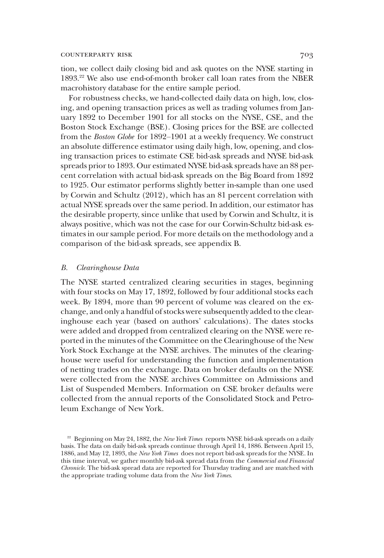tion, we collect daily closing bid and ask quotes on the NYSE starting in 1893.22 We also use end-of-month broker call loan rates from the NBER macrohistory database for the entire sample period.

For robustness checks, we hand-collected daily data on high, low, closing, and opening transaction prices as well as trading volumes from January 1892 to December 1901 for all stocks on the NYSE, CSE, and the Boston Stock Exchange (BSE). Closing prices for the BSE are collected from the Boston Globe for 1892–1901 at a weekly frequency. We construct an absolute difference estimator using daily high, low, opening, and closing transaction prices to estimate CSE bid-ask spreads and NYSE bid-ask spreads prior to 1893. Our estimated NYSE bid-ask spreads have an 88 percent correlation with actual bid-ask spreads on the Big Board from 1892 to 1925. Our estimator performs slightly better in-sample than one used by Corwin and Schultz (2012), which has an 81 percent correlation with actual NYSE spreads over the same period. In addition, our estimator has the desirable property, since unlike that used by Corwin and Schultz, it is always positive, which was not the case for our Corwin-Schultz bid-ask estimates in our sample period. For more details on the methodology and a comparison of the bid-ask spreads, see appendix B.

#### B. Clearinghouse Data

The NYSE started centralized clearing securities in stages, beginning with four stocks on May 17, 1892, followed by four additional stocks each week. By 1894, more than 90 percent of volume was cleared on the exchange, and only a handful of stocks were subsequently added to the clearinghouse each year (based on authors' calculations). The dates stocks were added and dropped from centralized clearing on the NYSE were reported in the minutes of the Committee on the Clearinghouse of the New York Stock Exchange at the NYSE archives. The minutes of the clearinghouse were useful for understanding the function and implementation of netting trades on the exchange. Data on broker defaults on the NYSE were collected from the NYSE archives Committee on Admissions and List of Suspended Members. Information on CSE broker defaults were collected from the annual reports of the Consolidated Stock and Petroleum Exchange of New York.

<sup>&</sup>lt;sup>22</sup> Beginning on May 24, 1882, the *New York Times* reports NYSE bid-ask spreads on a daily basis. The data on daily bid-ask spreads continue through April 14, 1886. Between April 15, 1886, and May 12, 1893, the New York Times does not report bid-ask spreads for the NYSE. In this time interval, we gather monthly bid-ask spread data from the Commercial and Financial Chronicle. The bid-ask spread data are reported for Thursday trading and are matched with the appropriate trading volume data from the New York Times.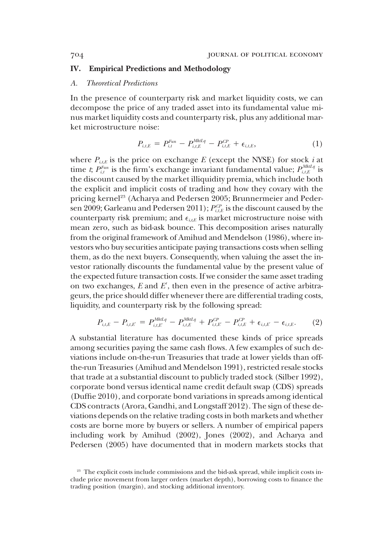#### IV. Empirical Predictions and Methodology

#### A. Theoretical Predictions

In the presence of counterparty risk and market liquidity costs, we can decompose the price of any traded asset into its fundamental value minus market liquidity costs and counterparty risk, plus any additional market microstructure noise:

$$
P_{i,t,E} = P_{i,t}^{Fun} - P_{i,t,E}^{Mhtlq} - P_{i,t,E}^{CP} + \epsilon_{i,t,E}, \qquad (1)
$$

where  $P_{i,k}$  is the price on exchange E (except the NYSE) for stock *i* at time *t*;  $P_{i,t}^{Fun}$  is the firm's exchange invariant fundamental value;  $P_{i,t,E}^{MktLq}$  is the discount caused by the market illiquidity premia, which include both the explicit and implicit costs of trading and how they covary with the pricing kernel<sup>23</sup> (Acharya and Pedersen 2005; Brunnermeier and Pedersen 2009; Garleanu and Pedersen 2011);  $P_{i,t,E}^{CP}$  is the discount caused by the counterparty risk premium; and  $\epsilon_{i,k}$  is market microstructure noise with mean zero, such as bid-ask bounce. This decomposition arises naturally from the original framework of Amihud and Mendelson (1986), where investors who buy securities anticipate paying transactions costs when selling them, as do the next buyers. Consequently, when valuing the asset the investor rationally discounts the fundamental value by the present value of the expected future transaction costs. If we consider the same asset trading on two exchanges,  $E$  and  $E'$ , then even in the presence of active arbitrageurs, the price should differ whenever there are differential trading costs, liquidity, and counterparty risk by the following spread:

$$
P_{i,t,E} - P_{i,t,E'} = P_{i,t,E'}^{MktIq} - P_{i,t,E}^{MktIq} + P_{i,t,E'}^{CP} - P_{i,t,E}^{CP} + \epsilon_{i,t,E'} - \epsilon_{i,t,E}.
$$
 (2)

A substantial literature has documented these kinds of price spreads among securities paying the same cash flows. A few examples of such deviations include on-the-run Treasuries that trade at lower yields than offthe-run Treasuries (Amihud and Mendelson 1991), restricted resale stocks that trade at a substantial discount to publicly traded stock (Silber 1992), corporate bond versus identical name credit default swap (CDS) spreads (Duffie 2010), and corporate bond variations in spreads among identical CDS contracts (Arora, Gandhi, and Longstaff 2012). The sign of these deviations depends on the relative trading costs in both markets and whether costs are borne more by buyers or sellers. A number of empirical papers including work by Amihud (2002), Jones (2002), and Acharya and Pedersen (2005) have documented that in modern markets stocks that

<sup>&</sup>lt;sup>23</sup> The explicit costs include commissions and the bid-ask spread, while implicit costs include price movement from larger orders (market depth), borrowing costs to finance the trading position (margin), and stocking additional inventory.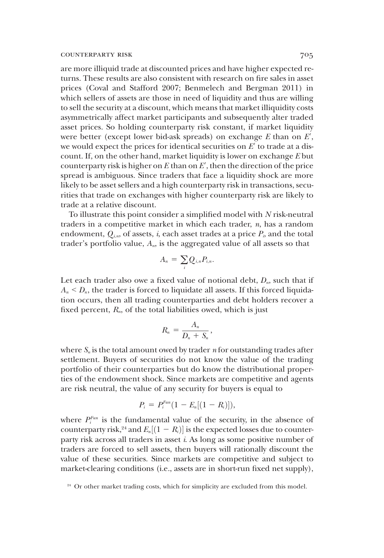are more illiquid trade at discounted prices and have higher expected returns. These results are also consistent with research on fire sales in asset prices (Coval and Stafford 2007; Benmelech and Bergman 2011) in which sellers of assets are those in need of liquidity and thus are willing to sell the security at a discount, which means that market illiquidity costs asymmetrically affect market participants and subsequently alter traded asset prices. So holding counterparty risk constant, if market liquidity were better (except lower bid-ask spreads) on exchange  $E$  than on  $E^{\prime},$ we would expect the prices for identical securities on  $E'$  to trade at a discount. If, on the other hand, market liquidity is lower on exchange E but counterparty risk is higher on  $E$  than on  $E^{\prime}$ , then the direction of the price spread is ambiguous. Since traders that face a liquidity shock are more likely to be asset sellers and a high counterparty risk in transactions, securities that trade on exchanges with higher counterparty risk are likely to trade at a relative discount.

To illustrate this point consider a simplified model with N risk-neutral traders in a competitive market in which each trader,  $n$ , has a random endowment,  $Q_{i,n}$ , of assets, i, each asset trades at a price  $P_i$ , and the total trader's portfolio value,  $A_n$ , is the aggregated value of all assets so that

$$
A_n = \sum_i Q_{i,n} P_{i,n}.
$$

Let each trader also owe a fixed value of notional debt,  $D_n$ , such that if  $A_n \leq D_n$ , the trader is forced to liquidate all assets. If this forced liquidation occurs, then all trading counterparties and debt holders recover a fixed percent,  $R_n$ , of the total liabilities owed, which is just

$$
R_n=\frac{A_n}{D_n+S_n},
$$

where  $S_n$  is the total amount owed by trader *n* for outstanding trades after settlement. Buyers of securities do not know the value of the trading portfolio of their counterparties but do know the distributional properties of the endowment shock. Since markets are competitive and agents are risk neutral, the value of any security for buyers is equal to

$$
P_i = P_i^{Fun} (1 - E_n[(1 - R_i)]),
$$

where  $P_i^{Fun}$  is the fundamental value of the security, in the absence of counterparty risk,<sup>24</sup> and  $E_n[(1 - R_i)]$  is the expected losses due to counter-<br>party risk across all traders in asset *i*. As long as some positive number of party risk across all traders in asset i. As long as some positive number of traders are forced to sell assets, then buyers will rationally discount the value of these securities. Since markets are competitive and subject to market-clearing conditions (i.e., assets are in short-run fixed net supply),

<sup>&</sup>lt;sup>24</sup> Or other market trading costs, which for simplicity are excluded from this model.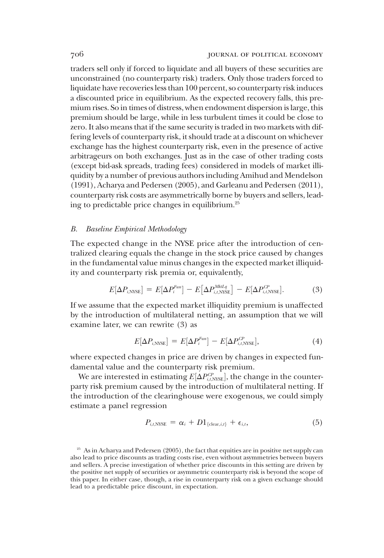traders sell only if forced to liquidate and all buyers of these securities are unconstrained (no counterparty risk) traders. Only those traders forced to liquidate have recoveries less than 100 percent, so counterparty risk induces a discounted price in equilibrium. As the expected recovery falls, this premium rises. So in times of distress, when endowment dispersion is large, this premium should be large, while in less turbulent times it could be close to zero. It also means that if the same security is traded in two markets with differing levels of counterparty risk, it should trade at a discount on whichever exchange has the highest counterparty risk, even in the presence of active arbitrageurs on both exchanges. Just as in the case of other trading costs (except bid-ask spreads, trading fees) considered in models of market illiquidity by a number of previous authors including Amihud and Mendelson (1991), Acharya and Pedersen (2005), and Garleanu and Pedersen (2011), counterparty risk costs are asymmetrically borne by buyers and sellers, leading to predictable price changes in equilibrium.25

#### B. Baseline Empirical Methodology

The expected change in the NYSE price after the introduction of centralized clearing equals the change in the stock price caused by changes in the fundamental value minus changes in the expected market illiquidity and counterparty risk premia or, equivalently,

$$
E[\Delta P_{i,\text{NYSE}}] = E[\Delta P_i^{Fun}] - E[\Delta P_{i,t,\text{NYSE}}^{Mklq}] - E[\Delta P_{i,t,\text{NYSE}}^{CP}]. \tag{3}
$$

If we assume that the expected market illiquidity premium is unaffected by the introduction of multilateral netting, an assumption that we will examine later, we can rewrite (3) as

$$
E[\Delta P_{i,\text{NYSE}}] = E[\Delta P_i^{Fun}] - E[\Delta P_{i,\text{NYSE}}^{CP}], \tag{4}
$$

where expected changes in price are driven by changes in expected fundamental value and the counterparty risk premium.

We are interested in estimating  $E[\Delta P_{i,t,\text{NNSE}}^{CP}]$ , the change in the counter-<br>rty risk premium caused by the introduction of multilateral netting. If we are interested in estimating  $E[\Delta t_{i,t,NSE}]$ , the enange in the counter-<br>party risk premium caused by the introduction of multilateral netting. If the introduction of the clearinghouse were exogenous, we could simply estimate a panel regression

$$
P_{i,t,\text{NYSE}} = \alpha_i + D1_{\{\text{clear},i,t\}} + \epsilon_{i,t},\tag{5}
$$

<sup>&</sup>lt;sup>25</sup> As in Acharya and Pedersen (2005), the fact that equities are in positive net supply can also lead to price discounts as trading costs rise, even without asymmetries between buyers and sellers. A precise investigation of whether price discounts in this setting are driven by the positive net supply of securities or asymmetric counterparty risk is beyond the scope of this paper. In either case, though, a rise in counterparty risk on a given exchange should lead to a predictable price discount, in expectation.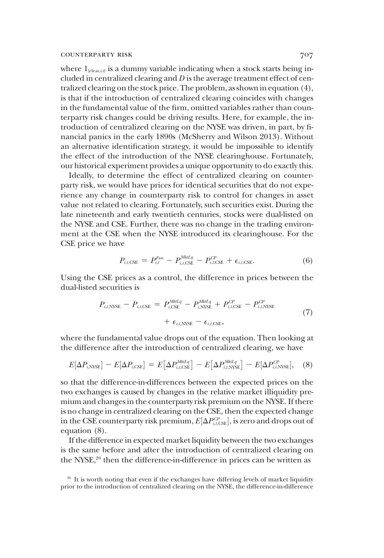where  $1_{\text{clear},i,j}$  is a dummy variable indicating when a stock starts being included in centralized clearing and  $D$  is the average treatment effect of centralized clearing on the stock price. The problem, as shown in equation (4), is that if the introduction of centralized clearing coincides with changes in the fundamental value of the firm, omitted variables rather than counterparty risk changes could be driving results. Here, for example, the introduction of centralized clearing on the NYSE was driven, in part, by financial panics in the early 1890s (McSherry and Wilson 2013). Without an alternative identification strategy, it would be impossible to identify the effect of the introduction of the NYSE clearinghouse. Fortunately, our historical experiment provides a unique opportunity to do exactly this.

Ideally, to determine the effect of centralized clearing on counterparty risk, we would have prices for identical securities that do not experience any change in counterparty risk to control for changes in asset value not related to clearing. Fortunately, such securities exist. During the late nineteenth and early twentieth centuries, stocks were dual-listed on the NYSE and CSE. Further, there was no change in the trading environment at the CSE when the NYSE introduced its clearinghouse. For the CSE price we have

$$
P_{i,t,\text{CSE}} = P_{i,t}^{Fun} - P_{i,t,\text{CSE}}^{Mhtq} - P_{i,t,\text{CSE}}^{CP} + \epsilon_{i,t,\text{CSE}}.
$$
\n(6)

Using the CSE prices as a control, the difference in prices between the dual-listed securities is

$$
P_{i,t,\text{NNSE}} - P_{i,t,\text{CSE}} = P_{i,\text{CSE}}^{MktLq} - P_{i,\text{NNSE}}^{MktLq} + P_{i,t,\text{CSE}}^{CP} - P_{i,t,\text{NNSE}}^{CP} + \epsilon_{i,t,\text{NNSE}} - \epsilon_{i,t,\text{CSE}},
$$
\n
$$
(7)
$$

where the fundamental value drops out of the equation. Then looking at the difference after the introduction of centralized clearing, we have

$$
E[\Delta P_{i,\text{NNSE}}] - E[\Delta P_{i,\text{CSE}}] = E[\Delta P_{i,t,\text{CSE}}^{Mktlq}] - E[\Delta P_{i,t,\text{NNSE}}^{Mktlq}] - E[\Delta P_{i,t,\text{NNSE}}^{CP}], \quad (8)
$$

so that the difference-in-differences between the expected prices on the two exchanges is caused by changes in the relative market illiquidity premium and changes in the counterparty risk premium on the NYSE. If there is no change in centralized clearing on the CSE, then the expected change in the CSE counterparty risk premium,  $E[\Delta P_{i,t,\text{CSE}}^{CP}]$ , is zero and drops out of equation (8) equation (8).

If the difference in expected market liquidity between the two exchanges is the same before and after the introduction of centralized clearing on the NYSE,<sup>26</sup> then the difference-in-difference in prices can be written as

<sup>&</sup>lt;sup>26</sup> It is worth noting that even if the exchanges have differing levels of market liquidity prior to the introduction of centralized clearing on the NYSE, the difference-in-difference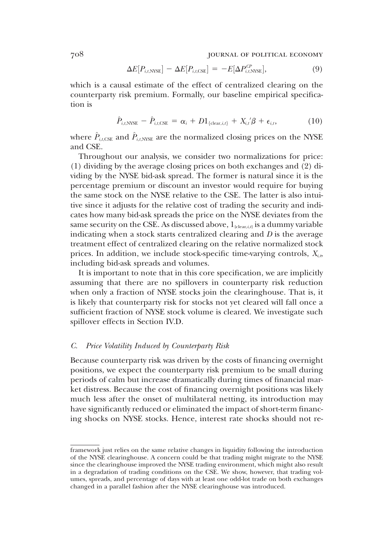708 journal of political economy

$$
\Delta E[P_{i,t,\text{NYSE}}] - \Delta E[P_{i,t,\text{CSE}}] = -E[\Delta P_{i,t,\text{NYSE}}^{CP}], \tag{9}
$$

which is a causal estimate of the effect of centralized clearing on the counterparty risk premium. Formally, our baseline empirical specification is

$$
\hat{P}_{i,t,\text{NNSE}} - \hat{P}_{i,t,\text{CSE}} = \alpha_i + D1_{\{\text{clear},i,t\}} + X_{i,t}^{\prime} \beta + \epsilon_{i,t},\tag{10}
$$

where  $\hat{P}_{i,t,\text{CSE}}$  and  $\hat{P}_{i,t,\text{NNSE}}$  are the normalized closing prices on the NYSE and CSE.

Throughout our analysis, we consider two normalizations for price: (1) dividing by the average closing prices on both exchanges and (2) dividing by the NYSE bid-ask spread. The former is natural since it is the percentage premium or discount an investor would require for buying the same stock on the NYSE relative to the CSE. The latter is also intuitive since it adjusts for the relative cost of trading the security and indicates how many bid-ask spreads the price on the NYSE deviates from the same security on the CSE. As discussed above,  $1_{\text{clear},t}$  is a dummy variable indicating when a stock starts centralized clearing and  $D$  is the average treatment effect of centralized clearing on the relative normalized stock prices. In addition, we include stock-specific time-varying controls,  $X_{i,b}$ including bid-ask spreads and volumes.

It is important to note that in this core specification, we are implicitly assuming that there are no spillovers in counterparty risk reduction when only a fraction of NYSE stocks join the clearinghouse. That is, it is likely that counterparty risk for stocks not yet cleared will fall once a sufficient fraction of NYSE stock volume is cleared. We investigate such spillover effects in Section IV.D.

#### C. Price Volatility Induced by Counterparty Risk

Because counterparty risk was driven by the costs of financing overnight positions, we expect the counterparty risk premium to be small during periods of calm but increase dramatically during times of financial market distress. Because the cost of financing overnight positions was likely much less after the onset of multilateral netting, its introduction may have significantly reduced or eliminated the impact of short-term financing shocks on NYSE stocks. Hence, interest rate shocks should not re-

framework just relies on the same relative changes in liquidity following the introduction of the NYSE clearinghouse. A concern could be that trading might migrate to the NYSE since the clearinghouse improved the NYSE trading environment, which might also result in a degradation of trading conditions on the CSE. We show, however, that trading volumes, spreads, and percentage of days with at least one odd-lot trade on both exchanges changed in a parallel fashion after the NYSE clearinghouse was introduced.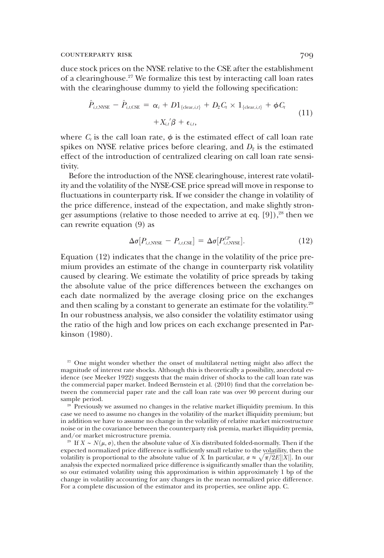duce stock prices on the NYSE relative to the CSE after the establishment of a clearinghouse.27 We formalize this test by interacting call loan rates with the clearinghouse dummy to yield the following specification:

$$
\hat{P}_{i,t,\text{NNSE}} - \hat{P}_{i,t,\text{CSE}} = \alpha_i + D1_{\{\text{clear},i,t\}} + D_2 C_t \times 1_{\{\text{clear},i,t\}} + \phi C_t
$$
\n
$$
+ X_{i,t}^{\prime} \beta + \epsilon_{i,t},
$$
\n(11)

where  $C_t$  is the call loan rate,  $\phi$  is the estimated effect of call loan rate spikes on NYSE relative prices before clearing, and  $D_2$  is the estimated effect of the introduction of centralized clearing on call loan rate sensitivity.

Before the introduction of the NYSE clearinghouse, interest rate volatility and the volatility of the NYSE-CSE price spread will move in response to fluctuations in counterparty risk. If we consider the change in volatility of the price difference, instead of the expectation, and make slightly stronger assumptions (relative to those needed to arrive at eq.  $[9]$ ),<sup>28</sup> then we can rewrite equation (9) as

$$
\Delta \sigma [P_{i,t,\text{NYSE}} - P_{i,t,\text{CSE}}] = \Delta \sigma [P_{i,t,\text{NYSE}}^{CP}]. \tag{12}
$$

Equation (12) indicates that the change in the volatility of the price premium provides an estimate of the change in counterparty risk volatility caused by clearing. We estimate the volatility of price spreads by taking the absolute value of the price differences between the exchanges on each date normalized by the average closing price on the exchanges and then scaling by a constant to generate an estimate for the volatility.<sup>29</sup> In our robustness analysis, we also consider the volatility estimator using the ratio of the high and low prices on each exchange presented in Parkinson (1980).

<sup>28</sup> Previously we assumed no changes in the relative market illiquidity premium. In this case we need to assume no changes in the volatility of the market illiquidity premium; but in addition we have to assume no change in the volatility of relative market microstructure noise or in the covariance between the counterparty risk premia, market illiquidity premia, and/or market microstructure premia.

<sup>29</sup> If  $X \sim N(\mu, \sigma)$ , then the absolute value of X is distributed folded-normally. Then if the expected normalized price difference is sufficiently small relative to the volatility, then the volatility is proportional to the absolute value of X. In particular,  $\sigma \approx \sqrt{\pi/2E[|X|]}$ . In our analysis the expected pormalized price difference is significantly smaller than the volatility analysis the expected normalized price difference is significantly smaller than the volatility, so our estimated volatility using this approximation is within approximately 1 bp of the change in volatility accounting for any changes in the mean normalized price difference. For a complete discussion of the estimator and its properties, see online app. C.

<sup>&</sup>lt;sup>27</sup> One might wonder whether the onset of multilateral netting might also affect the magnitude of interest rate shocks. Although this is theoretically a possibility, anecdotal evidence (see Meeker 1922) suggests that the main driver of shocks to the call loan rate was the commercial paper market. Indeed Bernstein et al. (2010) find that the correlation between the commercial paper rate and the call loan rate was over 90 percent during our sample period.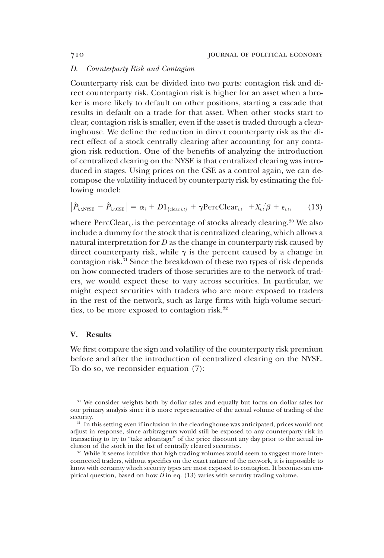#### D. Counterparty Risk and Contagion

Counterparty risk can be divided into two parts: contagion risk and direct counterparty risk. Contagion risk is higher for an asset when a broker is more likely to default on other positions, starting a cascade that results in default on a trade for that asset. When other stocks start to clear, contagion risk is smaller, even if the asset is traded through a clearinghouse. We define the reduction in direct counterparty risk as the direct effect of a stock centrally clearing after accounting for any contagion risk reduction. One of the benefits of analyzing the introduction of centralized clearing on the NYSE is that centralized clearing was introduced in stages. Using prices on the CSE as a control again, we can decompose the volatility induced by counterparty risk by estimating the following model:

$$
\left|\hat{P}_{i,t,\text{NNSE}} - \hat{P}_{i,t,\text{CSE}}\right| = \alpha_i + D1_{\{\text{clear},i,t\}} + \gamma \text{PercClear}_{i,t} + X_{i,t}/\beta + \epsilon_{i,t},\qquad(13)
$$

where  $PercClear_{it}$  is the percentage of stocks already clearing.<sup>30</sup> We also include a dummy for the stock that is centralized clearing, which allows a natural interpretation for  $D$  as the change in counterparty risk caused by direct counterparty risk, while  $\gamma$  is the percent caused by a change in contagion risk.31 Since the breakdown of these two types of risk depends on how connected traders of those securities are to the network of traders, we would expect these to vary across securities. In particular, we might expect securities with traders who are more exposed to traders in the rest of the network, such as large firms with high-volume securities, to be more exposed to contagion risk.<sup>32</sup>

#### V. Results

We first compare the sign and volatility of the counterparty risk premium before and after the introduction of centralized clearing on the NYSE. To do so, we reconsider equation (7):

<sup>&</sup>lt;sup>30</sup> We consider weights both by dollar sales and equally but focus on dollar sales for our primary analysis since it is more representative of the actual volume of trading of the security.

<sup>&</sup>lt;sup>31</sup> In this setting even if inclusion in the clearinghouse was anticipated, prices would not adjust in response, since arbitrageurs would still be exposed to any counterparty risk in transacting to try to "take advantage" of the price discount any day prior to the actual inclusion of the stock in the list of centrally cleared securities.

<sup>&</sup>lt;sup>32</sup> While it seems intuitive that high trading volumes would seem to suggest more interconnected traders, without specifics on the exact nature of the network, it is impossible to know with certainty which security types are most exposed to contagion. It becomes an empirical question, based on how  $\overline{D}$  in eq. (13) varies with security trading volume.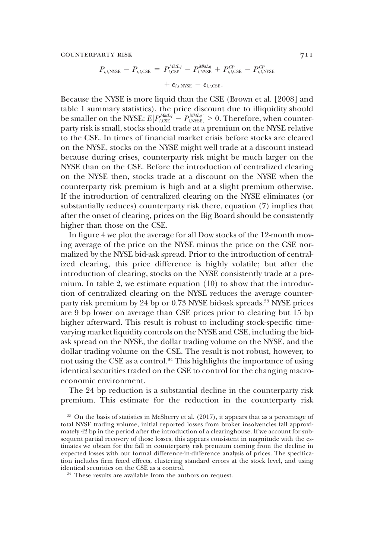$$
P_{i,t,\text{NNSE}} - P_{i,t,\text{CSE}} = P_{i,\text{CSE}}^{MktLq} - P_{i,\text{NNSE}}^{MktLq} + P_{i,t,\text{CSE}}^{CP} - P_{i,t,\text{NNSE}}^{CP} + \epsilon_{i,t,\text{NNSE}} - \epsilon_{i,t,\text{CSE}}.
$$

Because the NYSE is more liquid than the CSE (Brown et al. [2008] and table 1 summary statistics), the price discount due to illiquidity should be smaller on the NYSE:  $E[P_{i, \text{CSE}}^{MktLq} - P_{i, \text{NNEL}}^{MktLq}] > 0$ . Therefore, when counter-<br>party risk is small, stocks should trade at a premium on the NVSE relative be smaller on the NTSE.  $E[t_{i,\text{CSE}}^{i}]$  is a premium on the NYSE relative party risk is small, stocks should trade at a premium on the NYSE relative to the CSE. In times of financial market crisis before stocks are cleared on the NYSE, stocks on the NYSE might well trade at a discount instead because during crises, counterparty risk might be much larger on the NYSE than on the CSE. Before the introduction of centralized clearing on the NYSE then, stocks trade at a discount on the NYSE when the counterparty risk premium is high and at a slight premium otherwise. If the introduction of centralized clearing on the NYSE eliminates (or substantially reduces) counterparty risk there, equation (7) implies that after the onset of clearing, prices on the Big Board should be consistently higher than those on the CSE.

In figure 4 we plot the average for all Dow stocks of the 12-month moving average of the price on the NYSE minus the price on the CSE normalized by the NYSE bid-ask spread. Prior to the introduction of centralized clearing, this price difference is highly volatile; but after the introduction of clearing, stocks on the NYSE consistently trade at a premium. In table 2, we estimate equation (10) to show that the introduction of centralized clearing on the NYSE reduces the average counterparty risk premium by 24 bp or 0.73 NYSE bid-ask spreads.<sup>33</sup> NYSE prices are 9 bp lower on average than CSE prices prior to clearing but 15 bp higher afterward. This result is robust to including stock-specific timevarying market liquidity controls on the NYSE and CSE, including the bidask spread on the NYSE, the dollar trading volume on the NYSE, and the dollar trading volume on the CSE. The result is not robust, however, to not using the CSE as a control.<sup>34</sup> This highlights the importance of using identical securities traded on the CSE to control for the changing macroeconomic environment.

The 24 bp reduction is a substantial decline in the counterparty risk premium. This estimate for the reduction in the counterparty risk

<sup>&</sup>lt;sup>33</sup> On the basis of statistics in McSherry et al. (2017), it appears that as a percentage of total NYSE trading volume, initial reported losses from broker insolvencies fall approximately 42 bp in the period after the introduction of a clearinghouse. If we account for subsequent partial recovery of those losses, this appears consistent in magnitude with the estimates we obtain for the fall in counterparty risk premium coming from the decline in expected losses with our formal difference-in-difference analysis of prices. The specification includes firm fixed effects, clustering standard errors at the stock level, and using identical securities on the CSE as a control.

<sup>&</sup>lt;sup>34</sup> These results are available from the authors on request.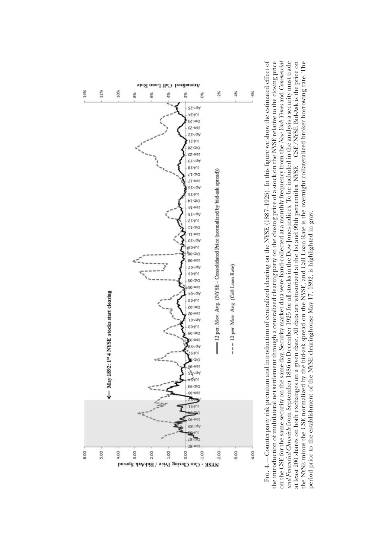

the introduction of multilateral net settlement through a centralized clearing party on the closing price of a stock on the NYSE relative to the closing price on the CSE for the same security on the same day. Security market data were hand-collected at a monthly frequency from the *New York Times* and *Commercial* and Financial Chronide from September 1886 to December 1925 for all stocks in the Dow Jones indices. To be included in the analysis a security must trade at least 200 shares on both exchanges on a given date. All data are winsorized at the 1st and 99th percentiles. NYSE - CSE/NYSE Bid-Ask is the price on the NYSE minus the CSE normalized by the bid-ask spread on the NYSE, and Call Loan Rate is the overnight collateralized broker borrowing rate. The FIG. 4.—Counterparty risk premium and introduction of centralized clearing on the NYSE (1887-1925). In this figure we show the estimated effect of —Counterparty risk premium and introduction of centralized clearing on the NYSE (1887–1925). In this figure we show the estimated effect of on the CSE for the same security on the same day. Security market data were hand-collected at a monthly frequency from the *New York Times* and *Commercial* the introduction of multilateral net settlement through a centralized clearing party on the closing price of a stock on the NYSE relative to the closing price and Financial Chronide from September 1886 to December 1925 for all stocks in the Dow Jones indices. To be included in the analysis a security must trade CSE/NYSE Bid-Ask is the price on the NYSE minus the CSE normalized by the bid-ask spread on the NYSE, and Call Loan Rate is the overnight collateralized broker borrowing rate. The at least 200 shares on both exchanges on a given date. All data are winsorized at the 1st and 99th percentiles. NYSE period prior to the establishment of the NYSE clearinghouse May 17, 1892, is highlighted in gray. period prior to the establishment of the NYSE clearinghouse May 17, 1892, is highlighted in gray.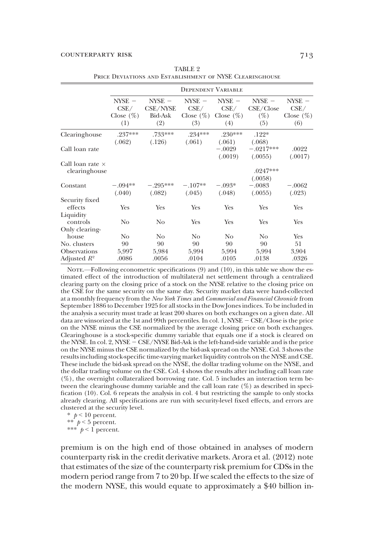|                                                       |                                         |                                               | <b>DEPENDENT VARIABLE</b>               |                                         |                                        |                                               |
|-------------------------------------------------------|-----------------------------------------|-----------------------------------------------|-----------------------------------------|-----------------------------------------|----------------------------------------|-----------------------------------------------|
|                                                       | $NYSE -$<br>CSE/<br>Close $(\%)$<br>(1) | $NYSE -$<br>CSE/NYSE<br><b>Bid-Ask</b><br>(2) | $NYSE -$<br>CSE/<br>Close $(\%)$<br>(3) | $NYSE -$<br>CSE/<br>Close $(\%)$<br>(4) | $NYSE -$<br>CSE/Close<br>$(\%)$<br>(5) | $NYSE -$<br>$\rm CSE/$<br>Close $(\%)$<br>(6) |
| Clearinghouse                                         | .237***<br>(.062)                       | .733 ***<br>(.126)                            | $.234***$<br>(.061)                     | $.230***$<br>(.061)                     | $.122*$<br>(.068)                      |                                               |
| Call loan rate                                        |                                         |                                               |                                         | $-.0029$<br>(.0019)                     | $-.0217***$<br>(.0055)                 | .0022<br>(.0017)                              |
| Call loan rate $\times$<br>clearinghouse              |                                         |                                               |                                         |                                         | $.0247***$<br>(.0058)                  |                                               |
| Constant                                              | $-.094**$<br>(.040)                     | $-.295***$<br>(.082)                          | $-.107**$<br>(.045)                     | $-.093*$<br>(.048)                      | $-.0083$<br>(.0055)                    | $-.0062$<br>(.023)                            |
| Security fixed<br>effects                             | Yes                                     | Yes                                           | Yes                                     | Yes                                     | Yes                                    | Yes                                           |
| Liquidity<br>controls                                 | N <sub>0</sub>                          | N <sub>0</sub>                                | Yes                                     | Yes                                     | Yes                                    | Yes                                           |
| Only clearing-<br>house                               | No                                      | No.                                           | No                                      | No                                      | No                                     | Yes                                           |
| No. clusters<br><b>Observations</b><br>Adjusted $R^2$ | 90<br>5,997<br>.0086                    | 90<br>5,984<br>.0056                          | 90<br>5,994<br>.0104                    | 90<br>5,994<br>.0105                    | 90<br>5,994<br>.0138                   | 51<br>3,904<br>.0326                          |

TABLE 2 PRICE DEVIATIONS AND ESTABLISHMENT OF NYSE CLEARINGHOUSE

Nore.—Following econometric specifications (9) and (10), in this table we show the estimated effect of the introduction of multilateral net settlement through a centralized clearing party on the closing price of a stock on the NYSE relative to the closing price on the CSE for the same security on the same day. Security market data were hand-collected at a monthly frequency from the New York Times and Commercial and Financial Chronicle from September 1886 to December 1925 for all stocks in the Dow Jones indices. To be included in the analysis a security must trade at least 200 shares on both exchanges on a given date. All data are winsorized at the 1st and 99th percentiles. In col. 1,  $N\text{S}\text{E} - \text{C}\text{S}\text{E} / \text{Close}}$  is the price on the NYSE minus the CSE normalized by the average closing price on both exchanges. Clearinghouse is a stock-specific dummy variable that equals one if a stock is cleared on the NYSE. In col. 2, NYSE - CSE/NYSE Bid-Ask is the left-hand-side variable and is the price on the NYSE minus the CSE normalized by the bid-ask spread on the NYSE. Col. 3 shows the results including stock-specific time-varying market liquidity controls on the NYSE and CSE. These include the bid-ask spread on the NYSE, the dollar trading volume on the NYSE, and the dollar trading volume on the CSE. Col. 4 shows the results after including call loan rate (%), the overnight collateralized borrowing rate. Col. 5 includes an interaction term between the clearinghouse dummy variable and the call loan rate (%) as described in specification (10). Col. 6 repeats the analysis in col. 4 but restricting the sample to only stocks already clearing. All specifications are run with security-level fixed effects, and errors are clustered at the security level.

 $*$   $p < 10$  percent. \*\*  $p < 5$  percent. \*\*\*  $p < 1$  percent.

premium is on the high end of those obtained in analyses of modern counterparty risk in the credit derivative markets. Arora et al. (2012) note that estimates of the size of the counterparty risk premium for CDSs in the modern period range from 7 to 20 bp. If we scaled the effects to the size of the modern NYSE, this would equate to approximately a \$40 billion in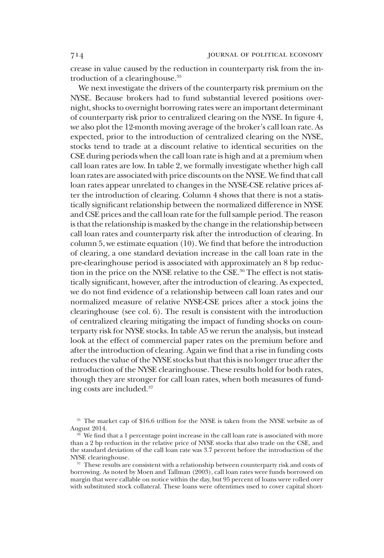crease in value caused by the reduction in counterparty risk from the introduction of a clearinghouse.35

We next investigate the drivers of the counterparty risk premium on the NYSE. Because brokers had to fund substantial levered positions overnight, shocks to overnight borrowing rates were an important determinant of counterparty risk prior to centralized clearing on the NYSE. In figure 4, we also plot the 12-month moving average of the broker's call loan rate. As expected, prior to the introduction of centralized clearing on the NYSE, stocks tend to trade at a discount relative to identical securities on the CSE during periods when the call loan rate is high and at a premium when call loan rates are low. In table 2, we formally investigate whether high call loan rates are associated with price discounts on the NYSE. We find that call loan rates appear unrelated to changes in the NYSE-CSE relative prices after the introduction of clearing. Column 4 shows that there is not a statistically significant relationship between the normalized difference in NYSE and CSE prices and the call loan rate for the full sample period. The reason is that the relationship is masked by the change in the relationship between call loan rates and counterparty risk after the introduction of clearing. In column 5, we estimate equation (10). We find that before the introduction of clearing, a one standard deviation increase in the call loan rate in the pre-clearinghouse period is associated with approximately an 8 bp reduction in the price on the NYSE relative to the CSE.<sup>36</sup> The effect is not statistically significant, however, after the introduction of clearing. As expected, we do not find evidence of a relationship between call loan rates and our normalized measure of relative NYSE-CSE prices after a stock joins the clearinghouse (see col. 6). The result is consistent with the introduction of centralized clearing mitigating the impact of funding shocks on counterparty risk for NYSE stocks. In table A5 we rerun the analysis, but instead look at the effect of commercial paper rates on the premium before and after the introduction of clearing. Again we find that a rise in funding costs reduces the value of the NYSE stocks but that this is no longer true after the introduction of the NYSE clearinghouse. These results hold for both rates, though they are stronger for call loan rates, when both measures of funding costs are included.37

<sup>&</sup>lt;sup>35</sup> The market cap of \$16.6 trillion for the NYSE is taken from the NYSE website as of August 2014.

We find that a 1 percentage point increase in the call loan rate is associated with more than a 2 bp reduction in the relative price of NYSE stocks that also trade on the CSE, and the standard deviation of the call loan rate was 3.7 percent before the introduction of the NYSE clearinghouse.

<sup>&</sup>lt;sup>37</sup> These results are consistent with a relationship between counterparty risk and costs of borrowing. As noted by Moen and Tallman (2003), call loan rates were funds borrowed on margin that were callable on notice within the day, but 95 percent of loans were rolled over with substituted stock collateral. These loans were oftentimes used to cover capital short-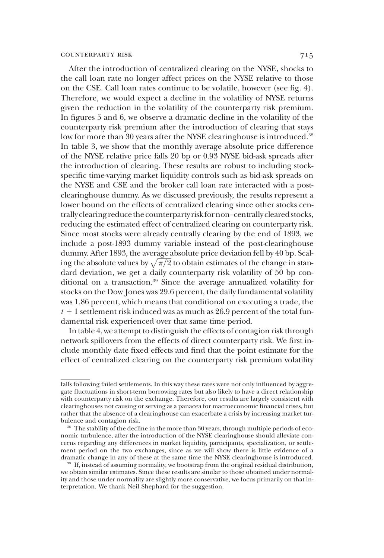After the introduction of centralized clearing on the NYSE, shocks to the call loan rate no longer affect prices on the NYSE relative to those on the CSE. Call loan rates continue to be volatile, however (see fig. 4). Therefore, we would expect a decline in the volatility of NYSE returns given the reduction in the volatility of the counterparty risk premium. In figures 5 and 6, we observe a dramatic decline in the volatility of the counterparty risk premium after the introduction of clearing that stays low for more than 30 years after the NYSE clearinghouse is introduced.<sup>38</sup> In table 3, we show that the monthly average absolute price difference of the NYSE relative price falls 20 bp or 0.93 NYSE bid-ask spreads after the introduction of clearing. These results are robust to including stockspecific time-varying market liquidity controls such as bid-ask spreads on the NYSE and CSE and the broker call loan rate interacted with a postclearinghouse dummy. As we discussed previously, the results represent a lower bound on the effects of centralized clearing since other stocks centrally clearing reduce the counterparty risk for non–centrally cleared stocks, reducing the estimated effect of centralized clearing on counterparty risk. Since most stocks were already centrally clearing by the end of 1893, we include a post-1893 dummy variable instead of the post-clearinghouse dummy. After 1893, the average absolute price deviation fell by 40 bp. Scaling the absolute values by  $\sqrt{\pi/2}$  to obtain estimates of the change in stan-<br>dard deviation, we get a daily counterparty risk volatility of 50 bp.condard deviation, we get a daily counterparty risk volatility of 50 bp conditional on a transaction.<sup>39</sup> Since the average annualized volatility for stocks on the Dow Jones was 29.6 percent, the daily fundamental volatility was 1.86 percent, which means that conditional on executing a trade, the  $t + 1$  settlement risk induced was as much as 26.9 percent of the total fundamental risk experienced over that same time period.

In table 4, we attempt to distinguish the effects of contagion risk through network spillovers from the effects of direct counterparty risk. We first include monthly date fixed effects and find that the point estimate for the effect of centralized clearing on the counterparty risk premium volatility

falls following failed settlements. In this way these rates were not only influenced by aggregate fluctuations in short-term borrowing rates but also likely to have a direct relationship with counterparty risk on the exchange. Therefore, our results are largely consistent with clearinghouses not causing or serving as a panacea for macroeconomic financial crises, but rather that the absence of a clearinghouse can exacerbate a crisis by increasing market turbulence and contagion risk.

<sup>&</sup>lt;sup>38</sup> The stability of the decline in the more than 30 years, through multiple periods of economic turbulence, after the introduction of the NYSE clearinghouse should alleviate concerns regarding any differences in market liquidity, participants, specialization, or settlement period on the two exchanges, since as we will show there is little evidence of a dramatic change in any of these at the same time the NYSE clearinghouse is introduced.

<sup>&</sup>lt;sup>39</sup> If, instead of assuming normality, we bootstrap from the original residual distribution, we obtain similar estimates. Since these results are similar to those obtained under normality and those under normality are slightly more conservative, we focus primarily on that interpretation. We thank Neil Shephard for the suggestion.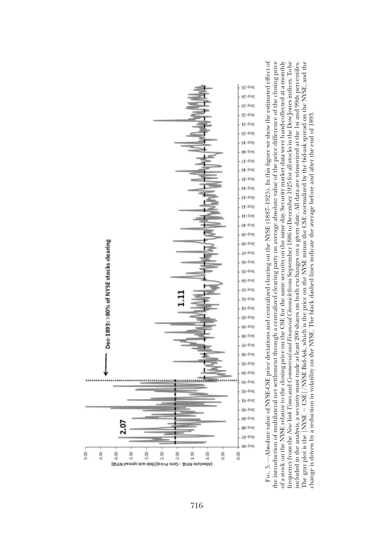

of a stock on the NYSE relative to the closing price on the CSE for the same security on the same day. Security market data were hand-collected at a monthly frequency from the New York Times and Commercial and Financial Chronicle from September 1886 to December 1925 for all stocks in the Dow Jones in dices. To be F1c. 5.—Absolute value of NYSE-CSE price deviations and centralized clearing on the NYSE (1887–1925). In this figure we show the estimated effect of FIG. 5.—Absolute value of NYSE-CSE price deviations and centralized clearing on the NYSE (1887–1925). In this figure we show the estimated effect of the introduction of multilateral net settlement through a centralized clearing party on average absolute value of the price difference of the closing price The gray plot is the  $\left[\frac{\text{N}\text{NSE}}{2} - \frac{\text{CSE}}{2}\right] / \text{N}\text{NSE}$  Bid-Ask, which is the price on the NYSE minus the CSE normalized by the bid-ask spread on the NYSE, and the the introduction of multilateral net settlement through a centralized clearing party on average absolute value of the price difference of the closing price of a stock on the NYSE relative to the closing price on the CSE for the same security on the same day. Security market data were hand-collected at a monthly frequency from the New York Times and Commercial and Financial Chronicle from September 1886 to December 1925 for all stocks in the Dow Jones indices. To be included in the analysis, a security must trade at least 200 shares on both exchanges on a given date. All data are winsorized at the 1st and 99th percentiles. included in the analysis, a security must trade at least 200 shares on both exchanges on a given date. All data are winsorized at the 1st and 99th percentiles. The gray plot is the [NYSE  $-$  CSE] /NYSE Bid-Ask, which is the price on the NYSE minus the CSE normalized by the bid-ask spread on the NYSE, and the change is driven by a reduction in volatility on the NYSE. The black dashed lines indicate the average before and after the end of 1893. change is driven by a reduction in volatility on the NYSE. The black dashed lines indicate the average before and after the end of 1893.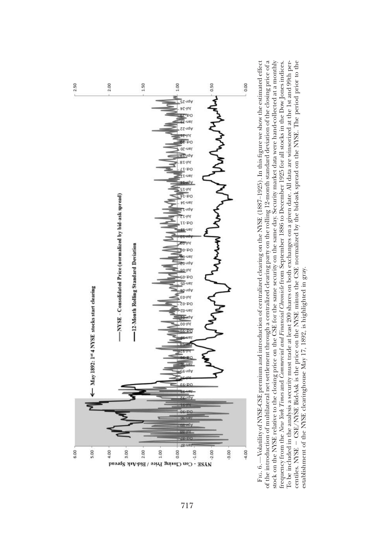

of the introduction of multilateral net settlement through a centralized clearing party on the rolling 12-month standard deviation of the closing price of a stock on the NYSE relative to the closing price on the CSE for the same security on the same day. Security market data were hand-collected at a monthly centiles. NYSE - CSE/NYSE Bid-Ask is the price on the NYSE minus the CSE normalized by the bid-ask spread on the NYSE. The period prior to the FIG. 6.—Volatility of NYSE-CSE premium and introduction of centralized clearing on the NYSE (1887–1925). In this figure we show the estimated effect frequency from the New York Times and Commercial and Financial Chronicle from September 1886 to December 1925 for all stocks in the Dow Jones indices. To be included in the analysis a security must trade at least 200 shares on both exchanges on a given date. All data are winsorized at the 1st and 99th per-FIG. 6.—Volatility of NYSE-CSE premium and introduction of centralized clearing on the NYSE (1887–1925). In this figure we show the estimated effect of the introduction of multilateral net settlement through a centralized clearing party on the rolling 12-month standard deviation of the closing price of a stock on the NYSE relative to the closing price on the CSE for the same security on the same day. Security market data were hand-collected at a monthly To be included in the analysis a security must trade at least 200 shares on both exchanges on a given date. All data are winsorized at the 1st and 99th percentiles. NYSE 2 CSE/NYSE Bid-Ask is the price on the NYSE minus the CSE normalized by the bid-ask spread on the NYSE. The period prior to the frequency from the New York Times and Commercial and Financial Chronicle from September 1886 to December 1925 for all stocks in the Dow Jones indices. establishment of the NYSE clearinghouse May 17, 1892, is highlighted in gray. establishment of the NYSE clearinghouse May 17, 1892, is highlighted in gray.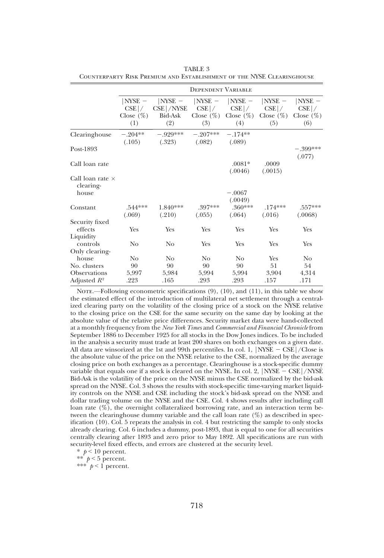|                                      |                                      |                                     | <b>DEPENDENT VARIABLE</b>            |                                      |                                       |                                       |
|--------------------------------------|--------------------------------------|-------------------------------------|--------------------------------------|--------------------------------------|---------------------------------------|---------------------------------------|
|                                      | $NYSE -$<br>$CSE$  /<br>Close $(\%)$ | $ NYSE -$<br>$CSE$ /NYSE<br>Bid-Ask | $ NYSE -$<br>$CSE$ /<br>Close $(\%)$ | $ NYSE -$<br>$CSE$ /<br>Close $(\%)$ | $ NYSE -$<br>$CSE$  /<br>Close $(\%)$ | $ NYSE -$<br>$CSE$  /<br>Close $(\%)$ |
|                                      | (1)                                  | (2)                                 | (3)                                  | (4)                                  | (5)                                   | (6)                                   |
| Clearinghouse                        | $-.204**$<br>(.105)                  | $-.929***$<br>(.323)                | $-907***$<br>(.082)                  | $-174**$<br>(.089)                   |                                       |                                       |
| Post-1893                            |                                      |                                     |                                      |                                      |                                       | $-.399***$<br>(.077)                  |
| Call loan rate                       |                                      |                                     |                                      | $.0081*$<br>(.0046)                  | .0009<br>(.0015)                      |                                       |
| Call loan rate $\times$<br>clearing- |                                      |                                     |                                      |                                      |                                       |                                       |
| house                                |                                      |                                     |                                      | $-.0067$<br>(.0049)                  |                                       |                                       |
| Constant                             | .544***<br>(.069)                    | 1.840***<br>(.210)                  | .397***<br>(.055)                    | $.360***$<br>(.064)                  | $.174***$<br>(.016)                   | $.557***$<br>(.0068)                  |
| Security fixed                       |                                      |                                     |                                      |                                      |                                       |                                       |
| effects<br>Liquidity                 | Yes                                  | Yes                                 | Yes                                  | Yes                                  | Yes                                   | Yes                                   |
| controls                             | N <sub>o</sub>                       | No                                  | Yes                                  | Yes                                  | Yes                                   | Yes                                   |
| Only clearing-<br>house              | No                                   | No                                  | No                                   | No                                   | Yes                                   | No                                    |
| No. clusters                         | 90                                   | 90                                  | 90                                   | 90                                   | 51                                    | 54                                    |
| <b>Observations</b>                  | 5,997                                | 5,984                               | 5,994                                | 5,994                                | 3,904                                 | 4,314                                 |
| Adjusted $R^2$                       | .223                                 | .165                                | .293                                 | .293                                 | .157                                  | .171                                  |

TABLE 3 Counterparty Risk Premium and Establishment of the NYSE Clearinghouse

NOTE.—Following econometric specifications (9), (10), and (11), in this table we show the estimated effect of the introduction of multilateral net settlement through a centralized clearing party on the volatility of the closing price of a stock on the NYSE relative to the closing price on the CSE for the same security on the same day by looking at the absolute value of the relative price differences. Security market data were hand-collected at a monthly frequency from the New York Times and Commercial and Financial Chronicle from September 1886 to December 1925 for all stocks in the Dow Jones indices. To be included in the analysis a security must trade at least 200 shares on both exchanges on a given date. All data are winsorized at the 1st and 99th percentiles. In col. 1,  $|NYSE - CSE|$ /Close is the absolute value of the price on the NYSE relative to the CSE, normalized by the average closing price on both exchanges as a percentage. Clearinghouse is a stock-specific dummy variable that equals one if a stock is cleared on the NYSE. In col. 2,  $|NYSE - CSE|/NYSE$ Bid-Ask is the volatility of the price on the NYSE minus the CSE normalized by the bid-ask spread on the NYSE. Col. 3 shows the results with stock-specific time-varying market liquidity controls on the NYSE and CSE including the stock's bid-ask spread on the NYSE and dollar trading volume on the NYSE and the CSE. Col. 4 shows results after including call loan rate  $(\%)$ , the overnight collateralized borrowing rate, and an interaction term between the clearinghouse dummy variable and the call loan rate  $(\%)$  as described in specification (10). Col. 5 repeats the analysis in col. 4 but restricting the sample to only stocks already clearing. Col. 6 includes a dummy, post-1893, that is equal to one for all securities centrally clearing after 1893 and zero prior to May 1892. All specifications are run with security-level fixed effects, and errors are clustered at the security level.

 $*$   $p < 10$  percent.

\*\*  $p < 5$  percent.

\*\*\*  $p < 1$  percent.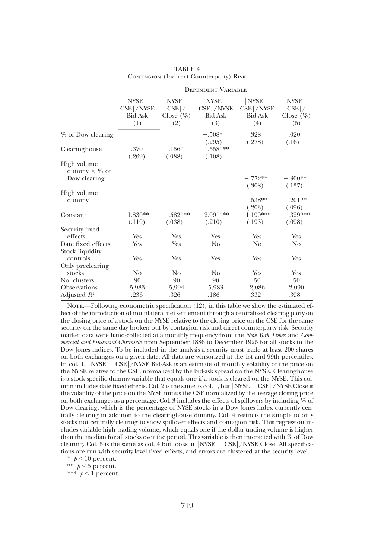|                                                    |                                                  |                                             | <b>DEPENDENT VARIABLE</b>                         |                                                  |                                             |
|----------------------------------------------------|--------------------------------------------------|---------------------------------------------|---------------------------------------------------|--------------------------------------------------|---------------------------------------------|
|                                                    | $NYSE -$<br>$CSE$ /NYSE<br><b>Bid-Ask</b><br>(1) | $ NYSE -$<br>$CSE$ /<br>Close $(\%)$<br>(2) | $ NYSE -$<br>$CSE$ /NYSE<br><b>Bid-Ask</b><br>(3) | $NYSE -$<br>$CSE$ /NYSE<br><b>Bid-Ask</b><br>(4) | $ NYSE -$<br>$CSE$ /<br>Close $(\%)$<br>(5) |
| % of Dow clearing                                  |                                                  |                                             | $-.508*$                                          | .328                                             | .020                                        |
| Clearinghouse                                      | $-.370$<br>(.269)                                | $-.156*$<br>(.088)                          | (.295)<br>$-.558***$<br>(.108)                    | (.278)                                           | (.16)                                       |
| High volume<br>dummy $\times$ % of<br>Dow clearing |                                                  |                                             |                                                   | $-.772**$                                        | $-.300**$                                   |
|                                                    |                                                  |                                             |                                                   | (.308)                                           | (.137)                                      |
| High volume<br>dummy                               |                                                  |                                             |                                                   | .538**<br>(.203)                                 | $.201**$<br>(.096)                          |
| Constant                                           | 1.830**<br>(.119)                                | .582***<br>(.038)                           | 2.091***<br>(.210)                                | 1.199***<br>(.193)                               | .329***<br>(.098)                           |
| Security fixed                                     |                                                  |                                             |                                                   |                                                  |                                             |
| effects                                            | Yes                                              | Yes                                         | Yes                                               | Yes                                              | Yes                                         |
| Date fixed effects<br>Stock liquidity              | Yes                                              | Yes                                         | No                                                | No                                               | N <sub>o</sub>                              |
| controls                                           | Yes                                              | Yes                                         | Yes                                               | Yes                                              | Yes                                         |
| Only preclearing                                   |                                                  |                                             |                                                   |                                                  |                                             |
| stocks                                             | No                                               | No                                          | No                                                | Yes                                              | Yes                                         |
| No. clusters                                       | 90                                               | 90                                          | 90                                                | 50                                               | 50                                          |
| <b>Observations</b>                                | 5,983                                            | 5,994                                       | 5,983                                             | 2,086                                            | 2,090                                       |
| Adjusted $R^2$                                     | .236                                             | .326                                        | .186                                              | .332                                             | .398                                        |

TABLE 4 CONTAGION (Indirect Counterparty) RISK

NOTE.—Following econometric specification (12), in this table we show the estimated effect of the introduction of multilateral net settlement through a centralized clearing party on the closing price of a stock on the NYSE relative to the closing price on the CSE for the same security on the same day broken out by contagion risk and direct counterparty risk. Security market data were hand-collected at a monthly frequency from the New York Times and Commercial and Financial Chronicle from September 1886 to December 1925 for all stocks in the Dow Jones indices. To be included in the analysis a security must trade at least 200 shares on both exchanges on a given date. All data are winsorized at the 1st and 99th percentiles. In col. 1,  $|NSE - CSE|$ /NYSE Bid-Ask is an estimate of monthly volatility of the price on the NYSE relative to the CSE, normalized by the bid-ask spread on the NYSE. Clearinghouse is a stock-specific dummy variable that equals one if a stock is cleared on the NYSE. This column includes date fixed effects. Col. 2 is the same as col. 1, but  $|NYSE - CSE|/NYSE$  Close is the volatility of the price on the NYSE minus the CSE normalized by the average closing price on both exchanges as a percentage. Col. 3 includes the effects of spillovers by including % of Dow clearing, which is the percentage of NYSE stocks in a Dow Jones index currently centrally clearing in addition to the clearinghouse dummy. Col. 4 restricts the sample to only stocks not centrally clearing to show spillover effects and contagion risk. This regression includes variable high trading volume, which equals one if the dollar trading volume is higher than the median for all stocks over the period. This variable is then interacted with % of Dow clearing. Col. 5 is the same as col. 4 but looks at  $[NYSE - CSE]/NYSE$  Close. All specifications are run with security-level fixed effects, and errors are clustered at the security level.

 $*$   $p < 10$  percent.

\*\*  $p < 5$  percent.

\*\*\*  $p < 1$  percent.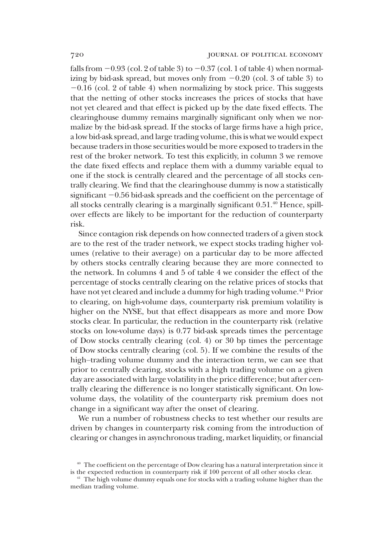falls from  $-0.93$  (col. 2 of table 3) to  $-0.37$  (col. 1 of table 4) when normalizing by bid-ask spread, but moves only from  $-0.20$  (col. 3 of table 3) to  $-0.16$  (col. 2 of table 4) when normalizing by stock price. This suggests that the netting of other stocks increases the prices of stocks that have not yet cleared and that effect is picked up by the date fixed effects. The clearinghouse dummy remains marginally significant only when we normalize by the bid-ask spread. If the stocks of large firms have a high price, a low bid-ask spread, and large trading volume, this is what we would expect because traders in those securities would be more exposed to traders in the rest of the broker network. To test this explicitly, in column 3 we remove the date fixed effects and replace them with a dummy variable equal to one if the stock is centrally cleared and the percentage of all stocks centrally clearing. We find that the clearinghouse dummy is now a statistically significant  $-0.56$  bid-ask spreads and the coefficient on the percentage of all stocks centrally clearing is a marginally significant 0.51.<sup>40</sup> Hence, spillover effects are likely to be important for the reduction of counterparty risk.

Since contagion risk depends on how connected traders of a given stock are to the rest of the trader network, we expect stocks trading higher volumes (relative to their average) on a particular day to be more affected by others stocks centrally clearing because they are more connected to the network. In columns 4 and 5 of table 4 we consider the effect of the percentage of stocks centrally clearing on the relative prices of stocks that have not yet cleared and include a dummy for high trading volume.<sup>41</sup> Prior to clearing, on high-volume days, counterparty risk premium volatility is higher on the NYSE, but that effect disappears as more and more Dow stocks clear. In particular, the reduction in the counterparty risk (relative stocks on low-volume days) is 0.77 bid-ask spreads times the percentage of Dow stocks centrally clearing (col. 4) or 30 bp times the percentage of Dow stocks centrally clearing (col. 5). If we combine the results of the high–trading volume dummy and the interaction term, we can see that prior to centrally clearing, stocks with a high trading volume on a given day are associated with large volatility in the price difference; but after centrally clearing the difference is no longer statistically significant. On lowvolume days, the volatility of the counterparty risk premium does not change in a significant way after the onset of clearing.

We run a number of robustness checks to test whether our results are driven by changes in counterparty risk coming from the introduction of clearing or changes in asynchronous trading, market liquidity, or financial

<sup>&</sup>lt;sup>40</sup> The coefficient on the percentage of Dow clearing has a natural interpretation since it is the expected reduction in counterparty risk if 100 percent of all other stocks clear.

<sup>&</sup>lt;sup>41</sup> The high volume dummy equals one for stocks with a trading volume higher than the median trading volume.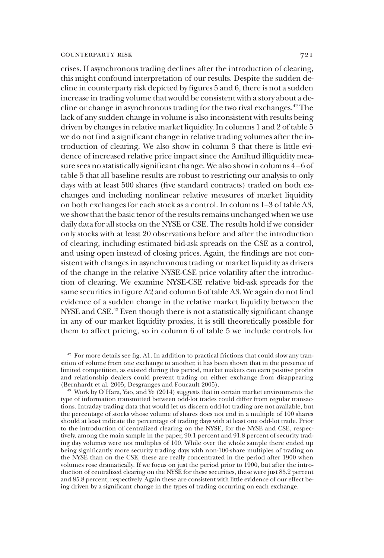crises. If asynchronous trading declines after the introduction of clearing, this might confound interpretation of our results. Despite the sudden decline in counterparty risk depicted by figures 5 and 6, there is not a sudden increase in trading volume that would be consistent with a story about a decline or change in asynchronous trading for the two rival exchanges.42 The lack of any sudden change in volume is also inconsistent with results being driven by changes in relative market liquidity. In columns 1 and 2 of table 5 we do not find a significant change in relative trading volumes after the introduction of clearing. We also show in column 3 that there is little evidence of increased relative price impact since the Amihud illiquidity measure sees no statistically significant change. We also show in columns 4–6 of table 5 that all baseline results are robust to restricting our analysis to only days with at least 500 shares (five standard contracts) traded on both exchanges and including nonlinear relative measures of market liquidity on both exchanges for each stock as a control. In columns 1–3 of table A3, we show that the basic tenor of the results remains unchanged when we use daily data for all stocks on the NYSE or CSE. The results hold if we consider only stocks with at least 20 observations before and after the introduction of clearing, including estimated bid-ask spreads on the CSE as a control, and using open instead of closing prices. Again, the findings are not consistent with changes in asynchronous trading or market liquidity as drivers of the change in the relative NYSE-CSE price volatility after the introduction of clearing. We examine NYSE-CSE relative bid-ask spreads for the same securities in figure A2 and column 6 of table A3. We again do not find evidence of a sudden change in the relative market liquidity between the NYSE and CSE.<sup>43</sup> Even though there is not a statistically significant change in any of our market liquidity proxies, it is still theoretically possible for them to affect pricing, so in column 6 of table 5 we include controls for

<sup>&</sup>lt;sup>42</sup> For more details see fig. A1. In addition to practical frictions that could slow any transition of volume from one exchange to another, it has been shown that in the presence of limited competition, as existed during this period, market makers can earn positive profits and relationship dealers could prevent trading on either exchange from disappearing (Bernhardt et al. 2005; Desgranges and Foucault 2005).

 $^{43}$  Work by O'Hara, Yao, and Ye (2014) suggests that in certain market environments the type of information transmitted between odd-lot trades could differ from regular transactions. Intraday trading data that would let us discern odd-lot trading are not available, but the percentage of stocks whose volume of shares does not end in a multiple of 100 shares should at least indicate the percentage of trading days with at least one odd-lot trade. Prior to the introduction of centralized clearing on the NYSE, for the NYSE and CSE, respectively, among the main sample in the paper, 90.1 percent and 91.8 percent of security trading day volumes were not multiples of 100. While over the whole sample there ended up being significantly more security trading days with non-100-share multiples of trading on the NYSE than on the CSE, these are really concentrated in the period after 1900 when volumes rose dramatically. If we focus on just the period prior to 1900, but after the introduction of centralized clearing on the NYSE for these securities, these were just 85.2 percent and 85.8 percent, respectively. Again these are consistent with little evidence of our effect being driven by a significant change in the types of trading occurring on each exchange.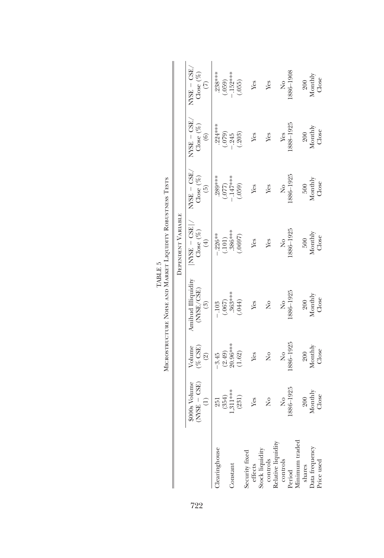|                                                                                                      |                                   |                                    | MICROSTRUCTURE NOISE AND MARKET LIQUIDITY ROBUSTNESS TESTS |                                        |                                                     |                                        |                                               |
|------------------------------------------------------------------------------------------------------|-----------------------------------|------------------------------------|------------------------------------------------------------|----------------------------------------|-----------------------------------------------------|----------------------------------------|-----------------------------------------------|
|                                                                                                      |                                   |                                    |                                                            | DEPENDENT VARIABLE                     |                                                     |                                        |                                               |
|                                                                                                      | $NSE - GSE$<br>\$000s Volume<br>Ξ | $(%$ CSE)<br>Volume<br>$\circledR$ | Amihud Illiquidity<br>(NYSE/CSE)<br>$\binom{3}{2}$         | $NSE - CSE$<br>Close $(\%)$<br>$(\pm)$ | $MSE - GSE$<br>Close $(\%)$<br>$\widetilde{\Theta}$ | $NSE - GSE$<br>Close $(\%)$<br>$\odot$ | $NVSE - GSE$<br>Close $(\%)$<br>$\widehat{C}$ |
| <b>Hearinghouse</b>                                                                                  | (354)<br>251                      | $-3.45$                            | (.067)<br>$-.103$                                          | $-.226**$<br>(.101)                    | .289***<br>(77)                                     | 224***<br>(079)                        | .238***<br>(.059)                             |
| Constant                                                                                             | $.311***$                         | $(2.49)$<br>20.96***               | $363***$                                                   | .386***                                | $-147***$<br>(.059)                                 | .245                                   | .152****<br>(.055)                            |
|                                                                                                      | (231)                             | (1.62)                             | (.044)                                                     | (.0697)                                |                                                     | (.203)                                 |                                               |
|                                                                                                      | Yes                               | Yes                                | Yes                                                        | Yes                                    | Yes                                                 | Yes                                    | Yes                                           |
| Security fixed<br>effects<br>Stock liquidity<br>controls<br>Relative liquidity<br>Relative liquidity | $\frac{1}{2}$                     | $\frac{1}{2}$                      | $\frac{1}{2}$                                              | Yes                                    | Yes                                                 | Yes                                    | Yes                                           |
|                                                                                                      |                                   |                                    |                                                            |                                        |                                                     |                                        |                                               |
|                                                                                                      | $\frac{1}{2}$                     | $\frac{1}{2}$                      | $\overline{a}$                                             | $\frac{1}{2}$                          | $\frac{1}{2}$                                       | Yes                                    | $\frac{1}{2}$                                 |
|                                                                                                      | 886-1925                          | 1886-1925                          | 886-1925                                                   | 886-1925                               | 886-1925                                            | 888-1925                               | 8061-988                                      |
|                                                                                                      |                                   |                                    |                                                            |                                        |                                                     |                                        |                                               |
| Period<br>Minimum traded<br>shares                                                                   | 200                               | 200                                | <b>200</b>                                                 | 500                                    | 500                                                 | 200                                    | 200                                           |
| Data frequency<br>Price used                                                                         | Monthly                           | Monthly                            | Monthly<br>Close                                           | Monthly<br>Close                       | Monthly                                             | Monthly<br>Close                       | Monthly                                       |
|                                                                                                      | Close                             | Close                              |                                                            |                                        | Close                                               |                                        | Close                                         |

TABLE  $5$ TABLE 5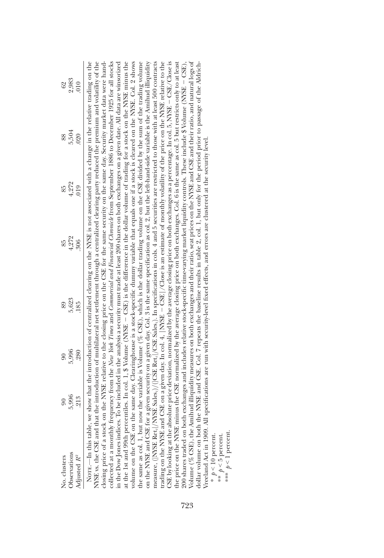| No. clusters                                                                                                                                                                                                                                                                                                              | $\overline{6}$ | $\overline{6}$ | 89                                                                                                                                 | 85    | 85    | 88    | 62    |
|---------------------------------------------------------------------------------------------------------------------------------------------------------------------------------------------------------------------------------------------------------------------------------------------------------------------------|----------------|----------------|------------------------------------------------------------------------------------------------------------------------------------|-------|-------|-------|-------|
| Observations                                                                                                                                                                                                                                                                                                              | 5,996          | 5,996          | 5,623                                                                                                                              | 4,272 | 4,272 | 5,504 | 2,983 |
| Adjusted $R^2$                                                                                                                                                                                                                                                                                                            | 213            | 280            | 185                                                                                                                                | 306   | 019   | 020   | 010   |
| NOTE.-In this table,                                                                                                                                                                                                                                                                                                      |                |                | we show that the introduction of centralized clearing on the NYSE is not associated with a change in the relative trading on the   |       |       |       |       |
| NSE vs. the CSE and th                                                                                                                                                                                                                                                                                                    |                |                | aat the introduction of multilateral net settlement through a centralized clearing party reduced the premium and volatility of the |       |       |       |       |
| closing price of a stock on the NYSE relative to the closing price on the CSE for the same security on the same day. Security market data were hand-<br>collected at a monthly frequency from the <i>New York Times</i> and <i>Commercial and Financial Chronicle</i> from September 1886 to December 1925 for all stocks |                |                |                                                                                                                                    |       |       |       |       |
| in the Dow Jones indices. To be included in the analysis a security must trade at least 200 shares on both exchanges on a given date. All data are winsorized                                                                                                                                                             |                |                |                                                                                                                                    |       |       |       |       |
| at the 1st and 99th percentiles. In col. 1, \$ Volume (NYSE - CSE) is the difference in the dollar volume of trading for a stock on the NYSE minus the                                                                                                                                                                    |                |                |                                                                                                                                    |       |       |       |       |
| volume on the CSE on the same day. Clearinghouse is a stock-specific dummy variable that equals one if a stock is cleared on the NYSE. Col. 2 shows                                                                                                                                                                       |                |                |                                                                                                                                    |       |       |       |       |
| the same as col. 1, but now the variable is Volume $(\%$ CSE), which is the dollar trading volume on the CSE divided by the sum of the trading volume                                                                                                                                                                     |                |                |                                                                                                                                    |       |       |       |       |
| on the NYSE and CSE for a given security on a given day. Col. 3 is the same specification as col. 2, but the left-hand-side variable is the Amihud illiquidity                                                                                                                                                            |                |                |                                                                                                                                    |       |       |       |       |
| measure, (INYSE Ret, //NYSE Sales,)/(IGSE Ret, //CSE Sales,). In specifications in cols. 4 and 5 securities are restricted to those with at least 500 contracts                                                                                                                                                           |                |                |                                                                                                                                    |       |       |       |       |
| trading on the NYSE and CSE on a given day. In col. 4,  NYSE – CSE /Close is an estimate of monthly volatility of the price on the NYSE relative to the                                                                                                                                                                   |                |                |                                                                                                                                    |       |       |       |       |
|                                                                                                                                                                                                                                                                                                                           |                |                |                                                                                                                                    |       |       |       |       |
| CSE by looking at the absolute price deviation, normalized by the average closing price on both exchanges as a percentage. In col. 5, NYSE – CSE/Close is<br>the price on the NYSE minus the CSE normalized by the average closin                                                                                         |                |                |                                                                                                                                    |       |       |       |       |
| 200 shares traded on both exchanges and includes relative stock-specific time-varying market liquidity controls. These include \$ Volume (NYSE – CSE),                                                                                                                                                                    |                |                |                                                                                                                                    |       |       |       |       |
| $V$ olume (% CSE), the Amihud illiquidity measures on both exchanges and their ratio, seat prices on the NYSE and CSE and their ratio, and natural logs of                                                                                                                                                                |                |                |                                                                                                                                    |       |       |       |       |
| dollar volume on both                                                                                                                                                                                                                                                                                                     |                |                | the NYSE and CSE. Col. 7 repeats the baseline results in table 2, col. 1, but only for the period prior to passage of the Aldrich- |       |       |       |       |
| Vreeland Act in 1909. All specifications are run with security-level fixed effects, and errors are clustered at the security level.                                                                                                                                                                                       |                |                |                                                                                                                                    |       |       |       |       |
| $*$ $p < 10$ percent.                                                                                                                                                                                                                                                                                                     |                |                |                                                                                                                                    |       |       |       |       |
| ** $p < 5$ percent.                                                                                                                                                                                                                                                                                                       |                |                |                                                                                                                                    |       |       |       |       |

\*\*\*  $p < 1$  percent. \*\*\* p < 1 percent.

723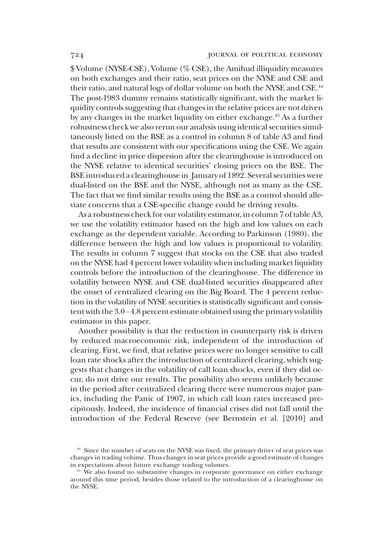\$ Volume (NYSE-CSE), Volume (% CSE), the Amihud illiquidity measures on both exchanges and their ratio, seat prices on the NYSE and CSE and their ratio, and natural logs of dollar volume on both the NYSE and CSE.<sup>44</sup> The post-1983 dummy remains statistically significant, with the market liquidity controls suggesting that changes in the relative prices are not driven by any changes in the market liquidity on either exchange.<sup>45</sup> As a further robustness check we also rerun our analysis using identical securities simultaneously listed on the BSE as a control in column 8 of table A3 and find that results are consistent with our specifications using the CSE. We again find a decline in price dispersion after the clearinghouse is introduced on the NYSE relative to identical securities' closing prices on the BSE. The BSE introduced a clearinghouse in January of 1892. Several securities were dual-listed on the BSE and the NYSE, although not as many as the CSE. The fact that we find similar results using the BSE as a control should alleviate concerns that a CSE-specific change could be driving results.

As a robustness check for our volatility estimator, in column 7 of table A3, we use the volatility estimator based on the high and low values on each exchange as the dependent variable. According to Parkinson (1980), the difference between the high and low values is proportional to volatility. The results in column 7 suggest that stocks on the CSE that also traded on the NYSE had 4 percent lower volatility when including market liquidity controls before the introduction of the clearinghouse. The difference in volatility between NYSE and CSE dual-listed securities disappeared after the onset of centralized clearing on the Big Board. The 4 percent reduction in the volatility of NYSE securities is statistically significant and consistent with the 3.0–4.8 percent estimate obtained using the primary volatility estimator in this paper.

Another possibility is that the reduction in counterparty risk is driven by reduced macroeconomic risk, independent of the introduction of clearing. First, we find, that relative prices were no longer sensitive to call loan rate shocks after the introduction of centralized clearing, which suggests that changes in the volatility of call loan shocks, even if they did occur, do not drive our results. The possibility also seems unlikely because in the period after centralized clearing there were numerous major panics, including the Panic of 1907, in which call loan rates increased precipitously. Indeed, the incidence of financial crises did not fall until the introduction of the Federal Reserve (see Bernstein et al. [2010] and

<sup>&</sup>lt;sup>44</sup> Since the number of seats on the NYSE was fixed, the primary driver of seat prices was changes in trading volume. Thus changes in seat prices provide a good estimate of changes in expectations about future exchange trading volumes.

<sup>&</sup>lt;sup>45</sup> We also found no substantive changes in corporate governance on either exchange around this time period, besides those related to the introduction of a clearinghouse on the NYSE.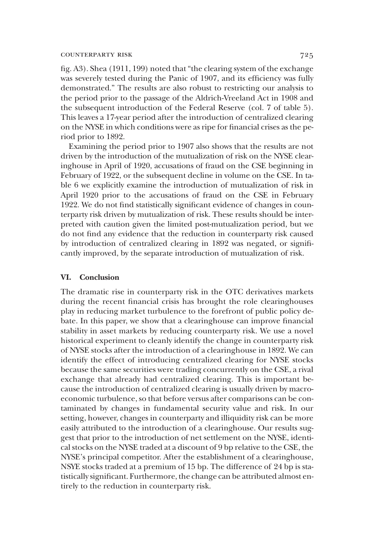fig. A3). Shea (1911, 199) noted that"the clearing system of the exchange was severely tested during the Panic of 1907, and its efficiency was fully demonstrated." The results are also robust to restricting our analysis to the period prior to the passage of the Aldrich-Vreeland Act in 1908 and the subsequent introduction of the Federal Reserve (col. 7 of table 5). This leaves a 17-year period after the introduction of centralized clearing on the NYSE in which conditions were as ripe for financial crises as the period prior to 1892.

Examining the period prior to 1907 also shows that the results are not driven by the introduction of the mutualization of risk on the NYSE clearinghouse in April of 1920, accusations of fraud on the CSE beginning in February of 1922, or the subsequent decline in volume on the CSE. In table 6 we explicitly examine the introduction of mutualization of risk in April 1920 prior to the accusations of fraud on the CSE in February 1922. We do not find statistically significant evidence of changes in counterparty risk driven by mutualization of risk. These results should be interpreted with caution given the limited post-mutualization period, but we do not find any evidence that the reduction in counterparty risk caused by introduction of centralized clearing in 1892 was negated, or significantly improved, by the separate introduction of mutualization of risk.

#### VI. Conclusion

The dramatic rise in counterparty risk in the OTC derivatives markets during the recent financial crisis has brought the role clearinghouses play in reducing market turbulence to the forefront of public policy debate. In this paper, we show that a clearinghouse can improve financial stability in asset markets by reducing counterparty risk. We use a novel historical experiment to cleanly identify the change in counterparty risk of NYSE stocks after the introduction of a clearinghouse in 1892. We can identify the effect of introducing centralized clearing for NYSE stocks because the same securities were trading concurrently on the CSE, a rival exchange that already had centralized clearing. This is important because the introduction of centralized clearing is usually driven by macroeconomic turbulence, so that before versus after comparisons can be contaminated by changes in fundamental security value and risk. In our setting, however, changes in counterparty and illiquidity risk can be more easily attributed to the introduction of a clearinghouse. Our results suggest that prior to the introduction of net settlement on the NYSE, identical stocks on the NYSE traded at a discount of 9 bp relative to the CSE, the NYSE's principal competitor. After the establishment of a clearinghouse, NSYE stocks traded at a premium of 15 bp. The difference of 24 bp is statistically significant. Furthermore, the change can be attributed almost entirely to the reduction in counterparty risk.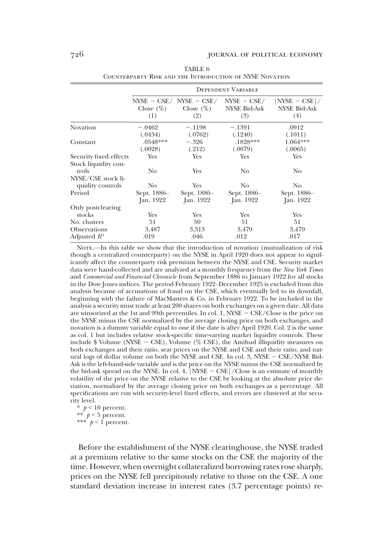|                                        |                          |                                                    | <b>DEPENDENT VARIABLE</b>                   |                                               |
|----------------------------------------|--------------------------|----------------------------------------------------|---------------------------------------------|-----------------------------------------------|
|                                        | Close $(\%)$<br>(1)      | $NYSE - CSE / NYSE - CSE /$<br>Close $(\%)$<br>(2) | $NYSE - CSE/$<br><b>NYSE Bid-Ask</b><br>(3) | $ NYSE - CSE /$<br><b>NYSE Bid-Ask</b><br>(4) |
| Novation                               | $-.0462$<br>(.0434)      | $-.1198$<br>(.0762)                                | $-.1391$<br>(.1240)                         | .0912<br>(.1011)                              |
| Constant                               | $.0548***$<br>(.0028)    | $-.326$<br>(.212)                                  | .1828***<br>(.0079)                         | 1.064***<br>(.0065)                           |
| Security fixed effects                 | Yes                      | Yes                                                | Yes                                         | Yes                                           |
| Stock liquidity con-<br>trols          | No                       | Yes                                                | No.                                         | No                                            |
| NYSE/CSE stock li-<br>quidity controls | No.                      | Yes                                                | No.                                         | No.                                           |
| Period                                 | Sept. 1886–<br>Jan. 1922 | Sept. 1886–<br>Jan. 1922                           | Sept. 1886–<br>Jan. 1922                    | Sept. 1886–<br>Jan. 1922                      |
| Only postclearing                      |                          |                                                    |                                             |                                               |
| stocks                                 | Yes                      | Yes                                                | Yes                                         | Yes                                           |
| No. clusters                           | 51                       | 50                                                 | 51                                          | 51                                            |
| <b>Observations</b>                    | 3,487                    | 3,313                                              | 3,479                                       | 3,479                                         |
| Adjusted $R^2$                         | .019                     | .046                                               | .012                                        | .017                                          |

|                                                         | TABLE 6 |  |
|---------------------------------------------------------|---------|--|
| COUNTERPARTY RISK AND THE INTRODUCTION OF NYSE NOVATION |         |  |

NOTE.—In this table we show that the introduction of novation (mutualization of risk though a centralized counterparty) on the NYSE in April 1920 does not appear to significantly affect the counterparty risk premium between the NYSE and CSE. Security market data were hand-collected and are analyzed at a monthly frequency from the New York Times and Commercial and Financial Chronicle from September 1886 to January 1922 for all stocks in the Dow Jones indices. The period February 1922–December 1925 is excluded from this analysis because of accusations of fraud on the CSE, which eventually led to its downfall, beginning with the failure of MacMasters & Co. in February 1922. To be included in the analysis a security must trade at least 200 shares on both exchanges on a given date. All data are winsorized at the 1st and 99th percentiles. In col. 1, NYSE  $-$  CSE/Close is the price on the NYSE minus the CSE normalized by the average closing price on both exchanges, and novation is a dummy variable equal to one if the date is after April 1920. Col. 2 is the same as col. 1 but includes relative stock-specific time-varying market liquidity controls. These include  $\text{\$ Volume (NYSE - CSE), Volume (\% CSE), the Amihud illiquidity measures on}$ both exchanges and their ratio, seat prices on the NYSE and CSE and their ratio, and natural logs of dollar volume on both the NYSE and CSE. In col. 3, NYSE  $-$  CSE/NYSE Bid-Ask is the left-hand-side variable and is the price on the NYSE minus the CSE normalized by the bid-ask spread on the NYSE. In col. 4,  $|N \times E - CSE| / C$  lose is an estimate of monthly volatility of the price on the NYSE relative to the CSE by looking at the absolute price deviation, normalized by the average closing price on both exchanges as a percentage. All specifications are run with security-level fixed effects, and errors are clustered at the security level.

 $*$   $p < 10$  percent. \*\*  $p < 5$  percent. \*\*\*  $p < 1$  percent.

Before the establishment of the NYSE clearinghouse, the NYSE traded at a premium relative to the same stocks on the CSE the majority of the time. However, when overnight collateralized borrowing rates rose sharply, prices on the NYSE fell precipitously relative to those on the CSE. A one standard deviation increase in interest rates (3.7 percentage points) re-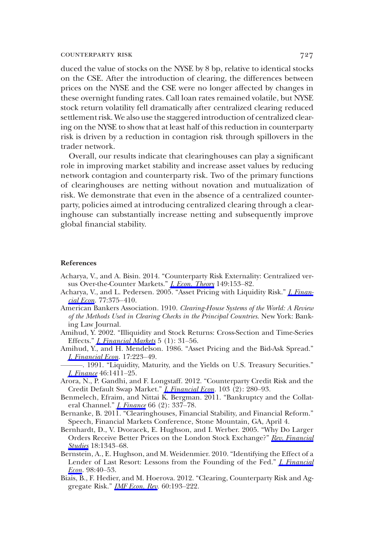duced the value of stocks on the NYSE by 8 bp, relative to identical stocks on the CSE. After the introduction of clearing, the differences between prices on the NYSE and the CSE were no longer affected by changes in these overnight funding rates. Call loan rates remained volatile, but NYSE stock return volatility fell dramatically after centralized clearing reduced settlement risk. We also use the staggered introduction of centralized clearing on the NYSE to show that at least half of this reduction in counterparty risk is driven by a reduction in contagion risk through spillovers in the trader network.

Overall, our results indicate that clearinghouses can play a significant role in improving market stability and increase asset values by reducing network contagion and counterparty risk. Two of the primary functions of clearinghouses are netting without novation and mutualization of risk. We demonstrate that even in the absence of a centralized counterparty, policies aimed at introducing centralized clearing through a clearinghouse can substantially increase netting and subsequently improve global financial stability.

#### References

- Acharya, V., and A. Bisin. 2014. "Counterparty Risk Externality: Centralized versus Over-the-Counter Markets." [J. Econ. Theory](https://www.journals.uchicago.edu/action/showLinks?doi=10.1086%2F701033&crossref=10.1016%2Fj.jet.2013.07.001&citationId=p_47) 149:153–82.
- Acharya, V., and L. Pedersen. 2005. "Asset Pricing with Liquidity Risk." [J. Finan](https://www.journals.uchicago.edu/action/showLinks?doi=10.1086%2F701033&crossref=10.1016%2Fj.jfineco.2004.06.007&citationId=p_48)[cial Econ.](https://www.journals.uchicago.edu/action/showLinks?doi=10.1086%2F701033&crossref=10.1016%2Fj.jfineco.2004.06.007&citationId=p_48) 77:375–410.
- American Bankers Association. 1910. Clearing-House Systems of the World: A Review of the Methods Used in Clearing Checks in the Principal Countries. New York: Banking Law Journal.
- Amihud, Y. 2002. "Illiquidity and Stock Returns: Cross-Section and Time-Series Effects." *[J. Financial Markets](https://www.journals.uchicago.edu/action/showLinks?doi=10.1086%2F701033&crossref=10.1016%2FS1386-4181%2801%2900024-6&citationId=p_50)* 5 (1): 31–56.
- Amihud, Y., and H. Mendelson. 1986. "Asset Pricing and the Bid-Ask Spread." [J. Financial Econ](https://www.journals.uchicago.edu/action/showLinks?doi=10.1086%2F701033&crossref=10.1016%2F0304-405X%2886%2990065-6&citationId=p_51). 17:223–49.
- ———. 1991. "Liquidity, Maturity, and the Yields on U.S. Treasury Securities." [J. Finance](https://www.journals.uchicago.edu/action/showLinks?doi=10.1086%2F701033&crossref=10.1111%2Fj.1540-6261.1991.tb04623.x&citationId=p_52) 46:1411–25.
- Arora, N., P. Gandhi, and F. Longstaff. 2012. "Counterparty Credit Risk and the Credit Default Swap Market." *[J. Financial Econ](https://www.journals.uchicago.edu/action/showLinks?doi=10.1086%2F701033&crossref=10.1016%2Fj.jfineco.2011.10.001&citationId=p_53)*. 103 (2): 280-93.
- Benmelech, Efraim, and Nittai K. Bergman. 2011. "Bankruptcy and the Collateral Channel." *[J. Finance](https://www.journals.uchicago.edu/action/showLinks?doi=10.1086%2F701033&crossref=10.1111%2Fj.1540-6261.2010.01636.x&citationId=p_54)* 66 (2): 337-78.
- Bernanke, B. 2011. "Clearinghouses, Financial Stability, and Financial Reform." Speech, Financial Markets Conference, Stone Mountain, GA, April 4.
- Bernhardt, D., V. Dvoracek, E. Hughson, and I. Werber. 2005. "Why Do Larger Orders Receive Better Prices on the London Stock Exchange?" [Rev. Financial](https://www.journals.uchicago.edu/action/showLinks?doi=10.1086%2F701033&crossref=10.1093%2Frfs%2Fhhi002&citationId=p_56) [Studies](https://www.journals.uchicago.edu/action/showLinks?doi=10.1086%2F701033&crossref=10.1093%2Frfs%2Fhhi002&citationId=p_56) 18:1343-68.
- Bernstein, A., E. Hughson, and M. Weidenmier. 2010. "Identifying the Effect of a Lender of Last Resort: Lessons from the Founding of the Fed." *[J. Financial](https://www.journals.uchicago.edu/action/showLinks?doi=10.1086%2F701033&crossref=10.1016%2Fj.jfineco.2010.04.001&citationId=p_57) [Econ](https://www.journals.uchicago.edu/action/showLinks?doi=10.1086%2F701033&crossref=10.1016%2Fj.jfineco.2010.04.001&citationId=p_57).* 98:40–53.
- Biais, B., F. Hedier, and M. Hoerova. 2012. "Clearing, Counterparty Risk and Aggregate Risk." *[IMF Econ. Rev](https://www.journals.uchicago.edu/action/showLinks?doi=10.1086%2F701033&crossref=10.1057%2Fimfer.2012.8&citationId=p_58).* 60:193-222.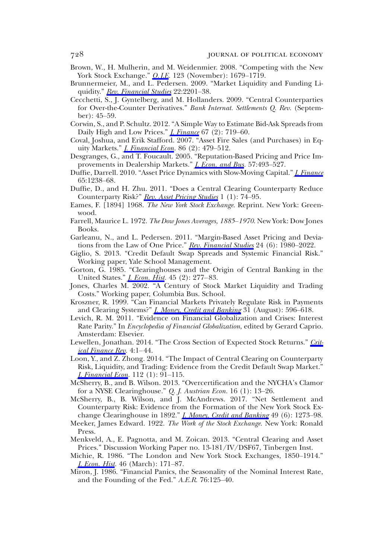- Brown, W., H. Mulherin, and M. Weidenmier. 2008. "Competing with the New York Stock Exchange." *O. I.E.* 123 (November): 1679–1719.
- Brunnermeier, M., and L. Pedersen. 2009. "Market Liquidity and Funding Li-quidity." [Rev. Financial Studies](https://www.journals.uchicago.edu/action/showLinks?doi=10.1086%2F701033&crossref=10.1093%2Frfs%2Fhhn098&citationId=p_60) 22:2201-38.
- Cecchetti, S., J. Gyntelberg, and M. Hollanders. 2009. "Central Counterparties for Over-the-Counter Derivatives." Bank Internat. Settlements Q. Rev. (September): 45–59.
- Corwin, S., and P. Schultz. 2012. "A Simple Way to Estimate Bid-Ask Spreads from Daily High and Low Prices." *[J. Finance](https://www.journals.uchicago.edu/action/showLinks?doi=10.1086%2F701033&crossref=10.1111%2Fj.1540-6261.2012.01729.x&citationId=p_62)* 67 (2): 719–60.
- Coval, Joshua, and Erik Stafford. 2007. "Asset Fire Sales (and Purchases) in Equity Markets." *J. Financial Econ*. 86 (2): 479-512.
- Desgranges, G., and T. Foucault. 2005. "Reputation-Based Pricing and Price Improvements in Dealership Markets." *[J. Econ. and Bus](https://www.journals.uchicago.edu/action/showLinks?doi=10.1086%2F701033&crossref=10.1016%2Fj.jeconbus.2005.09.001&citationId=p_64).* 57:493-527.
- Duffie, Darrell. 2010. "Asset Price Dynamics with Slow-Moving Capital." *[J. Finance](https://www.journals.uchicago.edu/action/showLinks?doi=10.1086%2F701033&crossref=10.1111%2Fj.1540-6261.2010.01569.x&citationId=p_65)* 65:1238–68.
- Duffie, D., and H. Zhu. 2011. "Does a Central Clearing Counterparty Reduce Counterparty Risk?" [Rev. Asset Pricing Studies](https://www.journals.uchicago.edu/action/showLinks?doi=10.1086%2F701033&crossref=10.1093%2Frapstu%2Frar001&citationId=p_66) 1 (1): 74–95.
- Eames, F. [1894] 1968. The New York Stock Exchange. Reprint. New York: Greenwood.
- Farrell, Maurice L. 1972. The Dow Jones Averages, 1885–1970. New York: Dow Jones Books.
- Garleanu, N., and L. Pedersen. 2011. "Margin-Based Asset Pricing and Devia-tions from the Law of One Price." [Rev. Financial Studies](https://www.journals.uchicago.edu/action/showLinks?doi=10.1086%2F701033&crossref=10.1093%2Frfs%2Fhhr027&citationId=p_69) 24 (6): 1980–2022.
- Giglio, S. 2013. "Credit Default Swap Spreads and Systemic Financial Risk." Working paper, Yale School Management.
- Gorton, G. 1985. "Clearinghouses and the Origin of Central Banking in the United States." *[J. Econ. Hist](https://www.journals.uchicago.edu/action/showLinks?doi=10.1086%2F701033&crossref=10.1017%2FS0022050700033957&citationId=p_71)*. 45 (2): 277–83.
- Jones, Charles M. 2002. "A Century of Stock Market Liquidity and Trading Costs." Working paper, Columbia Bus. School.
- Kroszner, R. 1999. "Can Financial Markets Privately Regulate Risk in Payments and Clearing Systems?" *[J. Money, Credit and Banking](https://www.journals.uchicago.edu/action/showLinks?doi=10.1086%2F701033&crossref=10.2307%2F2601077&citationId=p_73)* 31 (August): 596–618.
- Levich, R. M. 2011. "Evidence on Financial Globalization and Crises: Interest Rate Parity." In Encyclopedia of Financial Globalization, edited by Gerard Caprio. Amsterdam: Elsevier.
- Lewellen, Jonathan. 2014. "The Cross Section of Expected Stock Returns." [Crit](https://www.journals.uchicago.edu/action/showLinks?doi=10.1086%2F701033&crossref=10.1561%2F104.00000024&citationId=p_75)[ical Finance Rev.](https://www.journals.uchicago.edu/action/showLinks?doi=10.1086%2F701033&crossref=10.1561%2F104.00000024&citationId=p_75) 4:1–44.
- Loon, Y., and Z. Zhong. 2014. "The Impact of Central Clearing on Counterparty Risk, Liquidity, and Trading: Evidence from the Credit Default Swap Market." *<u>I. Financial Econ.</u>* 112 (1): 91–115.
- McSherry, B., and B. Wilson. 2013. "Overcertification and the NYCHA's Clamor for a NYSE Clearinghouse." Q. J. Austrian Econ. 16 (1): 13–26.
- McSherry, B., B. Wilson, and J. McAndrews. 2017. "Net Settlement and Counterparty Risk: Evidence from the Formation of the New York Stock Exchange Clearinghouse in 1892." *[J. Money, Credit and Banking](https://www.journals.uchicago.edu/action/showLinks?doi=10.1086%2F701033&crossref=10.1111%2Fjmcb.12417&citationId=p_78)* 49 (6): 1273–98.
- Meeker, James Edward. 1922. The Work of the Stock Exchange. New York: Ronald Press.
- Menkveld, A., E. Pagnotta, and M. Zoican. 2013. "Central Clearing and Asset Prices." Discussion Working Paper no. 13-181/IV/DSF67, Tinbergen Inst.
- Michie, R. 1986. "The London and New York Stock Exchanges, 1850–1914." *[J. Econ. Hist.](https://www.journals.uchicago.edu/action/showLinks?doi=10.1086%2F701033&crossref=10.1017%2FS0022050700045563&citationId=p_81)* 46 (March): 171-87.
- Miron, J. 1986. "Financial Panics, the Seasonality of the Nominal Interest Rate, and the Founding of the Fed." A.E.R. 76:125–40.